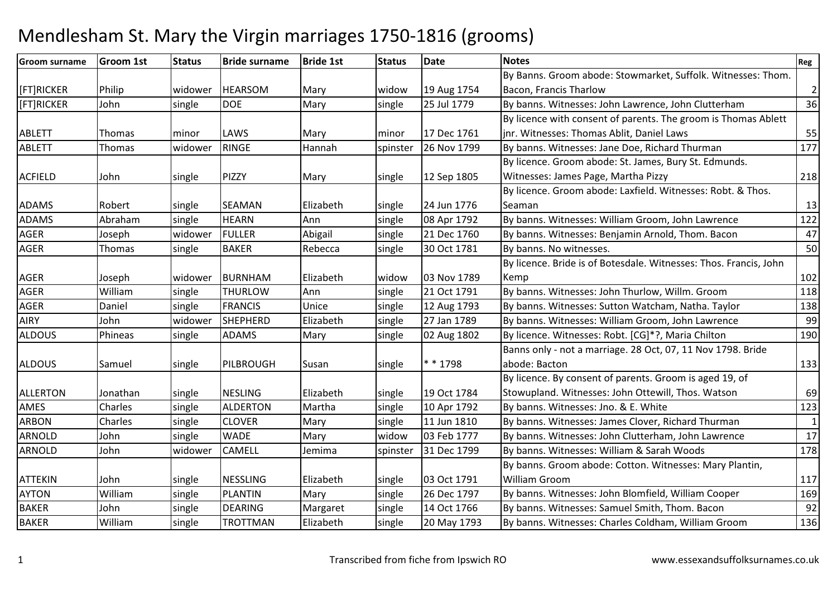| <b>Groom surname</b> | <b>Groom 1st</b> | <b>Status</b> | <b>Bride surname</b> | <b>Bride 1st</b> | <b>Status</b> | Date        | <b>Notes</b>                                                      | Reg            |
|----------------------|------------------|---------------|----------------------|------------------|---------------|-------------|-------------------------------------------------------------------|----------------|
|                      |                  |               |                      |                  |               |             | By Banns. Groom abode: Stowmarket, Suffolk. Witnesses: Thom.      |                |
| [FT]RICKER           | Philip           | widower       | <b>HEARSOM</b>       | Mary             | widow         | 19 Aug 1754 | Bacon, Francis Tharlow                                            | $\overline{2}$ |
| [FT]RICKER           | John             | single        | <b>DOE</b>           | Mary             | single        | 25 Jul 1779 | By banns. Witnesses: John Lawrence, John Clutterham               | 36             |
|                      |                  |               |                      |                  |               |             | By licence with consent of parents. The groom is Thomas Ablett    |                |
| <b>ABLETT</b>        | Thomas           | minor         | LAWS                 | Mary             | minor         | 17 Dec 1761 | jnr. Witnesses: Thomas Ablit, Daniel Laws                         | 55             |
| <b>ABLETT</b>        | Thomas           | widower       | RINGE                | Hannah           | spinster      | 26 Nov 1799 | By banns. Witnesses: Jane Doe, Richard Thurman                    | 177            |
|                      |                  |               |                      |                  |               |             | By licence. Groom abode: St. James, Bury St. Edmunds.             |                |
| <b>ACFIELD</b>       | John             | single        | PIZZY                | Mary             | single        | 12 Sep 1805 | Witnesses: James Page, Martha Pizzy                               | 218            |
|                      |                  |               |                      |                  |               |             | By licence. Groom abode: Laxfield. Witnesses: Robt. & Thos.       |                |
| <b>ADAMS</b>         | Robert           | single        | <b>SEAMAN</b>        | Elizabeth        | single        | 24 Jun 1776 | Seaman                                                            | 13             |
| <b>ADAMS</b>         | Abraham          | single        | <b>HEARN</b>         | Ann              | single        | 08 Apr 1792 | By banns. Witnesses: William Groom, John Lawrence                 | 122            |
| <b>AGER</b>          | Joseph           | widower       | <b>FULLER</b>        | Abigail          | single        | 21 Dec 1760 | By banns. Witnesses: Benjamin Arnold, Thom. Bacon                 | 47             |
| AGER                 | Thomas           | single        | <b>BAKER</b>         | Rebecca          | single        | 30 Oct 1781 | By banns. No witnesses.                                           | 50             |
|                      |                  |               |                      |                  |               |             | By licence. Bride is of Botesdale. Witnesses: Thos. Francis, John |                |
| <b>AGER</b>          | Joseph           | widower       | <b>BURNHAM</b>       | Elizabeth        | widow         | 03 Nov 1789 | Kemp                                                              | 102            |
| <b>AGER</b>          | William          | single        | <b>THURLOW</b>       | Ann              | single        | 21 Oct 1791 | By banns. Witnesses: John Thurlow, Willm. Groom                   | 118            |
| <b>AGER</b>          | Daniel           | single        | <b>FRANCIS</b>       | Unice            | single        | 12 Aug 1793 | By banns. Witnesses: Sutton Watcham, Natha. Taylor                | 138            |
| <b>AIRY</b>          | John             | widower       | SHEPHERD             | Elizabeth        | single        | 27 Jan 1789 | By banns. Witnesses: William Groom, John Lawrence                 | 99             |
| <b>ALDOUS</b>        | Phineas          | single        | <b>ADAMS</b>         | Mary             | single        | 02 Aug 1802 | By licence. Witnesses: Robt. [CG]*?, Maria Chilton                | 190            |
|                      |                  |               |                      |                  |               |             | Banns only - not a marriage. 28 Oct, 07, 11 Nov 1798. Bride       |                |
| <b>ALDOUS</b>        | Samuel           | single        | PILBROUGH            | Susan            | single        | * * 1798    | abode: Bacton                                                     | 133            |
|                      |                  |               |                      |                  |               |             | By licence. By consent of parents. Groom is aged 19, of           |                |
| <b>ALLERTON</b>      | Jonathan         | single        | <b>NESLING</b>       | Elizabeth        | single        | 19 Oct 1784 | Stowupland. Witnesses: John Ottewill, Thos. Watson                | 69             |
| AMES                 | Charles          | single        | <b>ALDERTON</b>      | Martha           | single        | 10 Apr 1792 | By banns. Witnesses: Jno. & E. White                              | 123            |
| <b>ARBON</b>         | Charles          | single        | <b>CLOVER</b>        | Mary             | single        | 11 Jun 1810 | By banns. Witnesses: James Clover, Richard Thurman                | $\mathbf{1}$   |
| <b>ARNOLD</b>        | John             | single        | <b>WADE</b>          | Mary             | widow         | 03 Feb 1777 | By banns. Witnesses: John Clutterham, John Lawrence               | $17\,$         |
| <b>ARNOLD</b>        | John             | widower       | <b>CAMELL</b>        | Jemima           | spinster      | 31 Dec 1799 | By banns. Witnesses: William & Sarah Woods                        | 178            |
|                      |                  |               |                      |                  |               |             | By banns. Groom abode: Cotton. Witnesses: Mary Plantin,           |                |
| <b>ATTEKIN</b>       | John             | single        | <b>NESSLING</b>      | Elizabeth        | single        | 03 Oct 1791 | <b>William Groom</b>                                              | 117            |
| <b>AYTON</b>         | William          | single        | <b>PLANTIN</b>       | Mary             | single        | 26 Dec 1797 | By banns. Witnesses: John Blomfield, William Cooper               | 169            |
| <b>BAKER</b>         | John             | single        | <b>DEARING</b>       | Margaret         | single        | 14 Oct 1766 | By banns. Witnesses: Samuel Smith, Thom. Bacon                    | 92             |
| <b>BAKER</b>         | William          | single        | <b>TROTTMAN</b>      | Elizabeth        | single        | 20 May 1793 | By banns. Witnesses: Charles Coldham, William Groom               | 136            |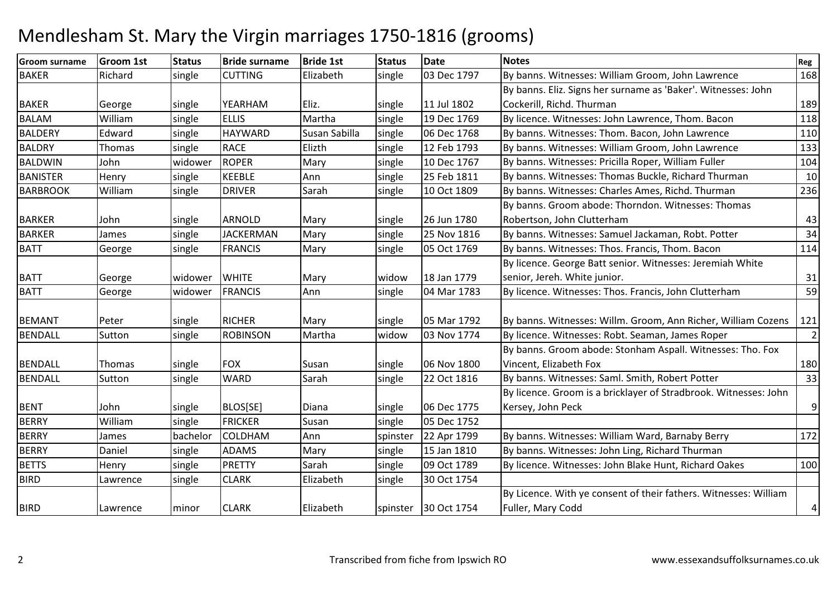#### Groom surnameGroom 1st 15tatus Bride surname e Bride 1st Status Date Notes Regional Region Regional Regional Regional Regional Regional Regional Regional Reg **RAKFR** Richard Isingle CUTTING Elizabeth single 03 Dec 1797 By banns. Witnesses: William Groom, John Lawrence <sup>168</sup> BAKER George single YEARHAM Eliz. single 11 Jul 180219 Dec 1769 By banns. Eliz. Signs her surname as 'Baker'. Witnesses: John Cockerill, Richd. Thurmann 189  $\overline{118}$ BALAMWilliam Single ELLIS Martha single 19 Dec 1769 By licence. Witnesses: John Lawrence, Thom. Bacon 118<br>Edward single HAYWARD Susan Sabilla single 06 Dec 1768 By banns. Witnesses: Thom. Bacon, John Lawrence 110 **BALDERY**  EdwardHAYWARD<br>RACE single 06 Dec 1768 By banns. Witnesses: Thom. Bacon, John Lawrence 110<br>
Single 12 Feb 1793 By banns. Witnesses: William Groom, John Lawrence 1333 **BALDRY** Thomas single Elizth By banns. Witnesses: William Groom, John Lawrence 133<br>By banns. Witnesses: Pricilla Roper. William Fuller 104 BALDWINJohn 1999 widower ROPER Mary Single 10 Dec 1767 By banns. Witnesses: Pricilla Roper, William Fuller 104<br>Henry Single KEEBLE Ann single 25 Feb 1811 By banns. Witnesses: Thomas Buckle, Richard Thurman 10 BANISTERKEEBLE Ann Single 25 Feb 1811 By banns. Witnesses: Thomas Buckle, Richard Thurman 10<br>DRIVER Sarah single 10 Oct 1809 By banns. Witnesses: Charles Ames. Richd. Thurman 236 BARBROOK Williamsingle DRIVER Sarah single 10 Oct 1809 By banns. Witnesses: Charles Ames, Richd. Thurman BARKER John single ARNOLD Mary single 26 Jun 178025 Nov 1816 By banns. Groom abode: Thorndon. Witnesses: Thomas Robertson, John Clutterhamm 43 **BARKER** James single JACKERMAN<br>George single FRANCIS N Mary Single 25 Nov 1816 By banns. Witnesses: Samuel Jackaman, Robt. Potter 34 BATT Georgesingle FRANCIS Mary Single 05 Oct 1769 By banns. Witnesses: Thos. Francis, Thom. Bacon 114 BATT George widower WHITE Mary widow 18 Jan 177904 Mar 1783 By licence. George Batt senior. Witnesses: Jeremiah White senior, Jereh. White junior. $\sim$  31  $\overline{59}$ BATT Georgewidower FRANCIS | Ann single  $\vert$  04 Mar 1783  $\vert$  By licence. Witnesses: Thos. Francis, John Clutterham m 59 BEMANT Peter single RICHER Mary single 05 Mar 1792 05 Mar 1792 By banns. Witnesses: Willm. Groom, Ann Richer, William Cozens 121<br>03 Nov 1774 By licence. Witnesses: Robt. Seaman. James Roper BENDALL Suttonsingle **ROBINSON**  Martha widowBy licence. Witnesses: Robt. Seaman, James Roper BENDALL Thomas single FOX Susan single 06 Nov 180022 Oct 1816 By banns. Groom abode: Stonham Aspall. Witnesses: Tho. Fox Vincent, Elizabeth Foxx 180 33 BENDALL Sutton single WARDSarah Sarah single 22 Oct 1816 By banns. Witnesses: Saml. Smith, Robert Potter BENT John single BLOS[SE] Diana single 06 Dec 177505 Dec 1752 By licence. Groom is a bricklayer of Stradbrook. Witnesses: John Kersey, John Peck9BERRY Williamm single FRICKER Susan single 05 Dec 1752 BERRYJames **bachelor COLDHAM** Ann Spinster 22 Apr 1799 By banns. Witnesses: William Ward, Barnaby Berry 172<br>Mary Single 15 Jan 1810 By banns. Witnesses: John Ling, Richard Thurman **BERRY** Daniel single ADAMS Mary Single 15 Jan 1810<br>PRETTY Sarah Single 09 Oct 1789 By banns. Witnesses: John Ling, Richard Thurman BETTSHenry single PRETTY single  $\vert$  09 Oct 1789 By licence. Witnesses: John Blake Hunt, Richard Oakes 100 BIRDD Lawrence single CLARK Elizabeth single 30 Oct 1754 BIRD Lawrence minor CLARK Elizabeth spinster 30 Oct 1754 By Licence. With ye consent of their fathers. Witnesses: William Fuller, Mary Codd4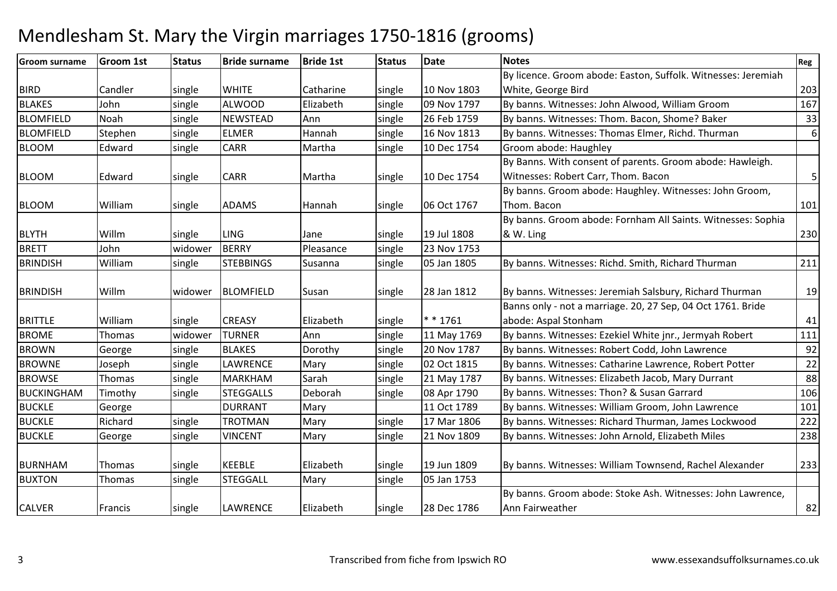| <b>Groom surname</b> | Groom 1st | <b>Status</b> | <b>Bride surname</b> | <b>Bride 1st</b> | <b>Status</b> | <b>Date</b> | <b>Notes</b>                                                  | Reg |
|----------------------|-----------|---------------|----------------------|------------------|---------------|-------------|---------------------------------------------------------------|-----|
|                      |           |               |                      |                  |               |             | By licence. Groom abode: Easton, Suffolk. Witnesses: Jeremiah |     |
| <b>BIRD</b>          | Candler   | single        | <b>WHITE</b>         | Catharine        | single        | 10 Nov 1803 | White, George Bird                                            | 203 |
| <b>BLAKES</b>        | John      | single        | <b>ALWOOD</b>        | Elizabeth        | single        | 09 Nov 1797 | By banns. Witnesses: John Alwood, William Groom               | 167 |
| <b>BLOMFIELD</b>     | Noah      | single        | <b>NEWSTEAD</b>      | Ann              | single        | 26 Feb 1759 | By banns. Witnesses: Thom. Bacon, Shome? Baker                | 33  |
| <b>BLOMFIELD</b>     | Stephen   | single        | <b>ELMER</b>         | Hannah           | single        | 16 Nov 1813 | By banns. Witnesses: Thomas Elmer, Richd. Thurman             | 6   |
| <b>BLOOM</b>         | Edward    | single        | CARR                 | Martha           | single        | 10 Dec 1754 | Groom abode: Haughley                                         |     |
|                      |           |               |                      |                  |               |             | By Banns. With consent of parents. Groom abode: Hawleigh.     |     |
| <b>BLOOM</b>         | Edward    | single        | <b>CARR</b>          | Martha           | single        | 10 Dec 1754 | Witnesses: Robert Carr, Thom. Bacon                           | 5   |
|                      |           |               |                      |                  |               |             | By banns. Groom abode: Haughley. Witnesses: John Groom,       |     |
| <b>BLOOM</b>         | William   | single        | <b>ADAMS</b>         | Hannah           | single        | 06 Oct 1767 | Thom. Bacon                                                   | 101 |
|                      |           |               |                      |                  |               |             | By banns. Groom abode: Fornham All Saints. Witnesses: Sophia  |     |
| <b>BLYTH</b>         | Willm     | single        | <b>LING</b>          | Jane             | single        | 19 Jul 1808 | & W. Ling                                                     | 230 |
| <b>BRETT</b>         | John      | widower       | <b>BERRY</b>         | Pleasance        | single        | 23 Nov 1753 |                                                               |     |
| <b>BRINDISH</b>      | William   | single        | <b>STEBBINGS</b>     | Susanna          | single        | 05 Jan 1805 | By banns. Witnesses: Richd. Smith, Richard Thurman            | 211 |
|                      |           |               |                      |                  |               |             |                                                               |     |
| <b>BRINDISH</b>      | Willm     | widower       | <b>BLOMFIELD</b>     | Susan            | single        | 28 Jan 1812 | By banns. Witnesses: Jeremiah Salsbury, Richard Thurman       | 19  |
|                      |           |               |                      |                  |               |             | Banns only - not a marriage. 20, 27 Sep, 04 Oct 1761. Bride   |     |
| <b>BRITTLE</b>       | William   | single        | <b>CREASY</b>        | Elizabeth        | single        | $* * 1761$  | abode: Aspal Stonham                                          | 41  |
| <b>BROME</b>         | Thomas    | widower       | <b>TURNER</b>        | Ann              | single        | 11 May 1769 | By banns. Witnesses: Ezekiel White jnr., Jermyah Robert       | 111 |
| <b>BROWN</b>         | George    | single        | <b>BLAKES</b>        | Dorothy          | single        | 20 Nov 1787 | By banns. Witnesses: Robert Codd, John Lawrence               | 92  |
| <b>BROWNE</b>        | Joseph    | single        | LAWRENCE             | Mary             | single        | 02 Oct 1815 | By banns. Witnesses: Catharine Lawrence, Robert Potter        | 22  |
| <b>BROWSE</b>        | Thomas    | single        | <b>MARKHAM</b>       | Sarah            | single        | 21 May 1787 | By banns. Witnesses: Elizabeth Jacob, Mary Durrant            | 88  |
| <b>BUCKINGHAM</b>    | Timothy   | single        | <b>STEGGALLS</b>     | Deborah          | single        | 08 Apr 1790 | By banns. Witnesses: Thon? & Susan Garrard                    | 106 |
| <b>BUCKLE</b>        | George    |               | <b>DURRANT</b>       | Mary             |               | 11 Oct 1789 | By banns. Witnesses: William Groom, John Lawrence             | 101 |
| <b>BUCKLE</b>        | Richard   | single        | <b>TROTMAN</b>       | Mary             | single        | 17 Mar 1806 | By banns. Witnesses: Richard Thurman, James Lockwood          | 222 |
| <b>BUCKLE</b>        | George    | single        | <b>VINCENT</b>       | Mary             | single        | 21 Nov 1809 | By banns. Witnesses: John Arnold, Elizabeth Miles             | 238 |
|                      |           |               |                      |                  |               |             |                                                               |     |
| <b>BURNHAM</b>       | Thomas    | single        | <b>KEEBLE</b>        | Elizabeth        | single        | 19 Jun 1809 | By banns. Witnesses: William Townsend, Rachel Alexander       | 233 |
| <b>BUXTON</b>        | Thomas    | single        | <b>STEGGALL</b>      | Mary             | single        | 05 Jan 1753 |                                                               |     |
|                      |           |               |                      |                  |               |             | By banns. Groom abode: Stoke Ash. Witnesses: John Lawrence,   |     |
| <b>CALVER</b>        | Francis   | single        | <b>LAWRENCE</b>      | Elizabeth        | single        | 28 Dec 1786 | Ann Fairweather                                               | 82  |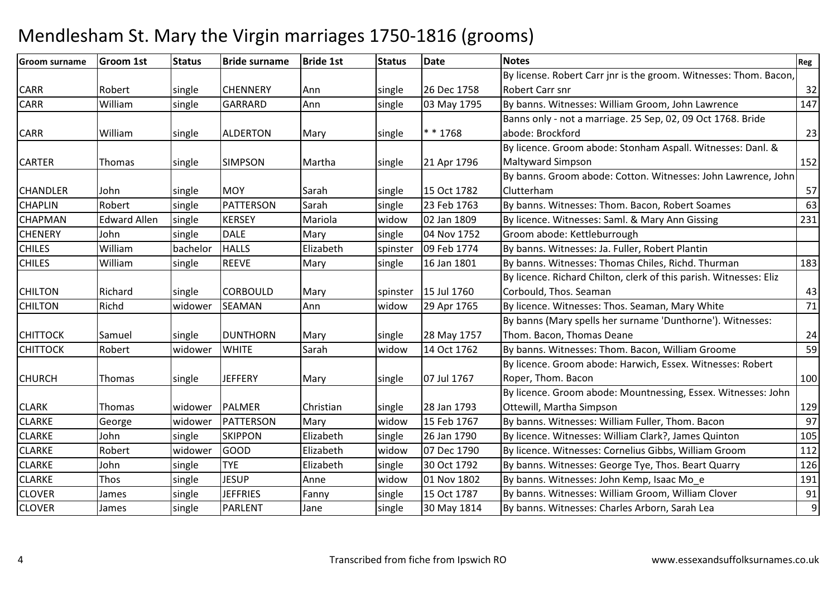| <b>Groom surname</b> | <b>Groom 1st</b>    | <b>Status</b> | <b>Bride surname</b> | <b>Bride 1st</b> | <b>Status</b> | <b>Date</b> | <b>Notes</b>                                                       | Reg              |
|----------------------|---------------------|---------------|----------------------|------------------|---------------|-------------|--------------------------------------------------------------------|------------------|
|                      |                     |               |                      |                  |               |             | By license. Robert Carr jnr is the groom. Witnesses: Thom. Bacon,  |                  |
| <b>CARR</b>          | Robert              | single        | <b>CHENNERY</b>      | Ann              | single        | 26 Dec 1758 | Robert Carr snr                                                    | 32               |
| <b>CARR</b>          | William             | single        | <b>GARRARD</b>       | Ann              | single        | 03 May 1795 | By banns. Witnesses: William Groom, John Lawrence                  | 147              |
|                      |                     |               |                      |                  |               |             | Banns only - not a marriage. 25 Sep, 02, 09 Oct 1768. Bride        |                  |
| <b>CARR</b>          | William             | single        | <b>ALDERTON</b>      | Mary             | single        | $* * 1768$  | abode: Brockford                                                   | 23               |
|                      |                     |               |                      |                  |               |             | By licence. Groom abode: Stonham Aspall. Witnesses: Danl. &        |                  |
| <b>CARTER</b>        | Thomas              | single        | <b>SIMPSON</b>       | Martha           | single        | 21 Apr 1796 | <b>Maltyward Simpson</b>                                           | 152              |
|                      |                     |               |                      |                  |               |             | By banns. Groom abode: Cotton. Witnesses: John Lawrence, John      |                  |
| <b>CHANDLER</b>      | John                | single        | <b>MOY</b>           | Sarah            | single        | 15 Oct 1782 | Clutterham                                                         | 57               |
| <b>CHAPLIN</b>       | Robert              | single        | PATTERSON            | Sarah            | single        | 23 Feb 1763 | By banns. Witnesses: Thom. Bacon, Robert Soames                    | 63               |
| <b>CHAPMAN</b>       | <b>Edward Allen</b> | single        | <b>KERSEY</b>        | Mariola          | widow         | 02 Jan 1809 | By licence. Witnesses: Saml. & Mary Ann Gissing                    | 231              |
| <b>CHENERY</b>       | John                | single        | <b>DALE</b>          | Mary             | single        | 04 Nov 1752 | Groom abode: Kettleburrough                                        |                  |
| <b>CHILES</b>        | William             | bachelor      | <b>HALLS</b>         | Elizabeth        | spinster      | 09 Feb 1774 | By banns. Witnesses: Ja. Fuller, Robert Plantin                    |                  |
| <b>CHILES</b>        | William             | single        | <b>REEVE</b>         | Mary             | single        | 16 Jan 1801 | By banns. Witnesses: Thomas Chiles, Richd. Thurman                 | 183              |
|                      |                     |               |                      |                  |               |             | By licence. Richard Chilton, clerk of this parish. Witnesses: Eliz |                  |
| <b>CHILTON</b>       | Richard             | single        | <b>CORBOULD</b>      | Mary             | spinster      | 15 Jul 1760 | Corbould, Thos. Seaman                                             | 43               |
| <b>CHILTON</b>       | Richd               | widower       | <b>SEAMAN</b>        | Ann              | widow         | 29 Apr 1765 | By licence. Witnesses: Thos. Seaman, Mary White                    | 71               |
|                      |                     |               |                      |                  |               |             | By banns (Mary spells her surname 'Dunthorne'). Witnesses:         |                  |
| <b>CHITTOCK</b>      | Samuel              | single        | DUNTHORN             | Mary             | single        | 28 May 1757 | Thom. Bacon, Thomas Deane                                          | 24               |
| <b>CHITTOCK</b>      | Robert              | widower       | <b>WHITE</b>         | Sarah            | widow         | 14 Oct 1762 | By banns. Witnesses: Thom. Bacon, William Groome                   | 59               |
|                      |                     |               |                      |                  |               |             | By licence. Groom abode: Harwich, Essex. Witnesses: Robert         |                  |
| <b>CHURCH</b>        | Thomas              | single        | <b>JEFFERY</b>       | Mary             | single        | 07 Jul 1767 | Roper, Thom. Bacon                                                 | 100              |
|                      |                     |               |                      |                  |               |             | By licence. Groom abode: Mountnessing, Essex. Witnesses: John      |                  |
| <b>CLARK</b>         | Thomas              | widower       | <b>PALMER</b>        | Christian        | single        | 28 Jan 1793 | Ottewill, Martha Simpson                                           | 129              |
| <b>CLARKE</b>        | George              | widower       | PATTERSON            | Mary             | widow         | 15 Feb 1767 | By banns. Witnesses: William Fuller, Thom. Bacon                   | 97               |
| <b>CLARKE</b>        | John                | single        | <b>SKIPPON</b>       | Elizabeth        | single        | 26 Jan 1790 | By licence. Witnesses: William Clark?, James Quinton               | 105              |
| <b>CLARKE</b>        | Robert              | widower       | <b>GOOD</b>          | Elizabeth        | widow         | 07 Dec 1790 | By licence. Witnesses: Cornelius Gibbs, William Groom              | 112              |
| <b>CLARKE</b>        | John                | single        | <b>TYE</b>           | Elizabeth        | single        | 30 Oct 1792 | By banns. Witnesses: George Tye, Thos. Beart Quarry                | 126              |
| <b>CLARKE</b>        | Thos                | single        | <b>JESUP</b>         | Anne             | widow         | 01 Nov 1802 | By banns. Witnesses: John Kemp, Isaac Mo_e                         | 191              |
| <b>CLOVER</b>        | James               | single        | <b>JEFFRIES</b>      | Fanny            | single        | 15 Oct 1787 | By banns. Witnesses: William Groom, William Clover                 | 91               |
| <b>CLOVER</b>        | James               | single        | <b>PARLENT</b>       | Jane             | single        | 30 May 1814 | By banns. Witnesses: Charles Arborn, Sarah Lea                     | $\boldsymbol{9}$ |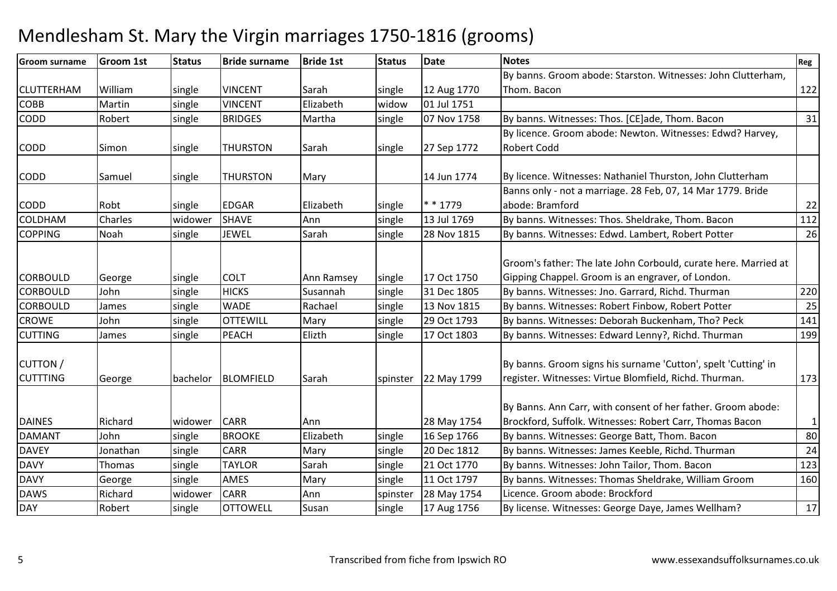| <b>Groom surname</b>               | <b>Groom 1st</b> | <b>Status</b> | <b>Bride surname</b> | <b>Bride 1st</b> | <b>Status</b> | <b>Date</b> | <b>Notes</b>                                                                                                             | Reg          |
|------------------------------------|------------------|---------------|----------------------|------------------|---------------|-------------|--------------------------------------------------------------------------------------------------------------------------|--------------|
|                                    |                  |               |                      |                  |               |             | By banns. Groom abode: Starston. Witnesses: John Clutterham,                                                             |              |
| <b>CLUTTERHAM</b>                  | William          | single        | <b>VINCENT</b>       | Sarah            | single        | 12 Aug 1770 | Thom. Bacon                                                                                                              | 122          |
| COBB                               | Martin           | single        | <b>VINCENT</b>       | Elizabeth        | widow         | 01 Jul 1751 |                                                                                                                          |              |
| <b>CODD</b>                        | Robert           | single        | <b>BRIDGES</b>       | Martha           | single        | 07 Nov 1758 | By banns. Witnesses: Thos. [CE]ade, Thom. Bacon                                                                          | 31           |
|                                    |                  |               |                      |                  |               |             | By licence. Groom abode: Newton. Witnesses: Edwd? Harvey,                                                                |              |
| <b>CODD</b>                        | Simon            | single        | <b>THURSTON</b>      | Sarah            | single        | 27 Sep 1772 | <b>Robert Codd</b>                                                                                                       |              |
| <b>CODD</b>                        | Samuel           | single        | <b>THURSTON</b>      | Mary             |               | 14 Jun 1774 | By licence. Witnesses: Nathaniel Thurston, John Clutterham                                                               |              |
|                                    |                  |               |                      |                  |               |             | Banns only - not a marriage. 28 Feb, 07, 14 Mar 1779. Bride                                                              |              |
| <b>CODD</b>                        | Robt             | single        | <b>EDGAR</b>         | Elizabeth        | single        | * * 1779    | abode: Bramford                                                                                                          | 22           |
| <b>COLDHAM</b>                     | <b>Charles</b>   | widower       | <b>SHAVE</b>         | Ann              | single        | 13 Jul 1769 | By banns. Witnesses: Thos. Sheldrake, Thom. Bacon                                                                        | 112          |
| <b>COPPING</b>                     | Noah             | single        | <b>JEWEL</b>         | Sarah            | single        | 28 Nov 1815 | By banns. Witnesses: Edwd. Lambert, Robert Potter                                                                        | 26           |
|                                    |                  |               |                      |                  |               |             | Groom's father: The late John Corbould, curate here. Married at                                                          |              |
| <b>CORBOULD</b>                    | George           | single        | <b>COLT</b>          | Ann Ramsey       | single        | 17 Oct 1750 | Gipping Chappel. Groom is an engraver, of London.                                                                        |              |
| <b>CORBOULD</b>                    | John             | single        | <b>HICKS</b>         | Susannah         | single        | 31 Dec 1805 | By banns. Witnesses: Jno. Garrard, Richd. Thurman                                                                        | 220          |
| <b>CORBOULD</b>                    | James            | single        | <b>WADE</b>          | Rachael          | single        | 13 Nov 1815 | By banns. Witnesses: Robert Finbow, Robert Potter                                                                        | 25           |
| <b>CROWE</b>                       | John             | single        | <b>OTTEWILL</b>      | Mary             | single        | 29 Oct 1793 | By banns. Witnesses: Deborah Buckenham, Tho? Peck                                                                        | 141          |
| <b>CUTTING</b>                     | James            | single        | <b>PEACH</b>         | Elizth           | single        | 17 Oct 1803 | By banns. Witnesses: Edward Lenny?, Richd. Thurman                                                                       | 199          |
| <b>CUTTON</b> /<br><b>CUTTTING</b> | George           | bachelor      | <b>BLOMFIELD</b>     | Sarah            | spinster      | 22 May 1799 | By banns. Groom signs his surname 'Cutton', spelt 'Cutting' in<br>register. Witnesses: Virtue Blomfield, Richd. Thurman. | 173          |
| <b>DAINES</b>                      | Richard          | widower       | <b>CARR</b>          | Ann              |               | 28 May 1754 | By Banns. Ann Carr, with consent of her father. Groom abode:<br>Brockford, Suffolk. Witnesses: Robert Carr, Thomas Bacon | $\mathbf{1}$ |
| <b>DAMANT</b>                      | John             | single        | <b>BROOKE</b>        | Elizabeth        | single        | 16 Sep 1766 | By banns. Witnesses: George Batt, Thom. Bacon                                                                            | 80           |
| <b>DAVEY</b>                       | Jonathan         | single        | <b>CARR</b>          | Mary             | single        | 20 Dec 1812 | By banns. Witnesses: James Keeble, Richd. Thurman                                                                        | 24           |
| <b>DAVY</b>                        | Thomas           | single        | <b>TAYLOR</b>        | Sarah            | single        | 21 Oct 1770 | By banns. Witnesses: John Tailor, Thom. Bacon                                                                            | 123          |
| <b>DAVY</b>                        | George           | single        | <b>AMES</b>          | Mary             | single        | 11 Oct 1797 | By banns. Witnesses: Thomas Sheldrake, William Groom                                                                     | 160          |
| <b>DAWS</b>                        | Richard          | widower       | <b>CARR</b>          | Ann              | spinster      | 28 May 1754 | Licence. Groom abode: Brockford                                                                                          |              |
| <b>DAY</b>                         | Robert           | single        | <b>OTTOWELL</b>      | Susan            | single        | 17 Aug 1756 | By license. Witnesses: George Daye, James Wellham?                                                                       | 17           |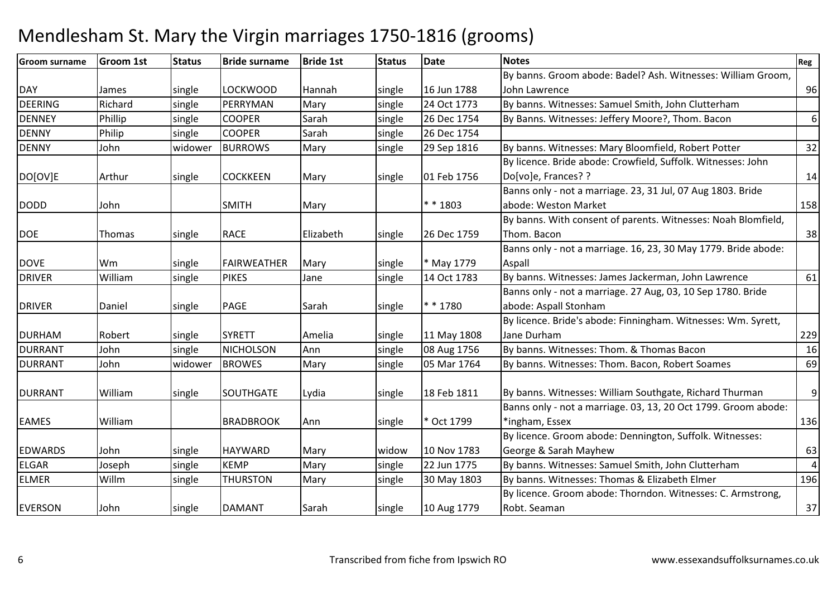| <b>Groom surname</b> | <b>Groom 1st</b> | <b>Status</b> | <b>Bride surname</b> | <b>Bride 1st</b> | <b>Status</b> | <b>Date</b> | <b>Notes</b>                                                   | Reg              |
|----------------------|------------------|---------------|----------------------|------------------|---------------|-------------|----------------------------------------------------------------|------------------|
|                      |                  |               |                      |                  |               |             | By banns. Groom abode: Badel? Ash. Witnesses: William Groom,   |                  |
| <b>DAY</b>           | James            | single        | <b>LOCKWOOD</b>      | Hannah           | single        | 16 Jun 1788 | John Lawrence                                                  | 96               |
| <b>DEERING</b>       | Richard          | single        | PERRYMAN             | Mary             | single        | 24 Oct 1773 | By banns. Witnesses: Samuel Smith, John Clutterham             |                  |
| <b>DENNEY</b>        | Phillip          | single        | <b>COOPER</b>        | Sarah            | single        | 26 Dec 1754 | By Banns. Witnesses: Jeffery Moore?, Thom. Bacon               | $\boldsymbol{6}$ |
| <b>DENNY</b>         | Philip           | single        | <b>COOPER</b>        | Sarah            | single        | 26 Dec 1754 |                                                                |                  |
| <b>DENNY</b>         | John             | widower       | <b>BURROWS</b>       | Mary             | single        | 29 Sep 1816 | By banns. Witnesses: Mary Bloomfield, Robert Potter            | 32               |
|                      |                  |               |                      |                  |               |             | By licence. Bride abode: Crowfield, Suffolk. Witnesses: John   |                  |
| DO[OV]E              | Arthur           | single        | <b>COCKKEEN</b>      | Mary             | single        | 01 Feb 1756 | Do[vo]e, Frances? ?                                            | 14               |
|                      |                  |               |                      |                  |               |             | Banns only - not a marriage. 23, 31 Jul, 07 Aug 1803. Bride    |                  |
| <b>DODD</b>          | John             |               | <b>SMITH</b>         | Mary             |               | * * 1803    | abode: Weston Market                                           | 158              |
|                      |                  |               |                      |                  |               |             | By banns. With consent of parents. Witnesses: Noah Blomfield,  |                  |
| <b>DOE</b>           | Thomas           | single        | <b>RACE</b>          | Elizabeth        | single        | 26 Dec 1759 | Thom. Bacon                                                    | 38               |
|                      |                  |               |                      |                  |               |             | Banns only - not a marriage. 16, 23, 30 May 1779. Bride abode: |                  |
| <b>DOVE</b>          | Wm               | single        | FAIRWEATHER          | Mary             | single        | May 1779    | Aspall                                                         |                  |
| <b>DRIVER</b>        | William          | single        | <b>PIKES</b>         | Jane             | single        | 14 Oct 1783 | By banns. Witnesses: James Jackerman, John Lawrence            | 61               |
|                      |                  |               |                      |                  |               |             | Banns only - not a marriage. 27 Aug, 03, 10 Sep 1780. Bride    |                  |
| <b>DRIVER</b>        | Daniel           | single        | <b>PAGE</b>          | Sarah            | single        | * * 1780    | abode: Aspall Stonham                                          |                  |
|                      |                  |               |                      |                  |               |             | By licence. Bride's abode: Finningham. Witnesses: Wm. Syrett,  |                  |
| <b>DURHAM</b>        | Robert           | single        | <b>SYRETT</b>        | Amelia           | single        | 11 May 1808 | Jane Durham                                                    | 229              |
| <b>DURRANT</b>       | John             | single        | NICHOLSON            | Ann              | single        | 08 Aug 1756 | By banns. Witnesses: Thom. & Thomas Bacon                      | 16               |
| <b>DURRANT</b>       | John             | widower       | <b>BROWES</b>        | Mary             | single        | 05 Mar 1764 | By banns. Witnesses: Thom. Bacon, Robert Soames                | 69               |
|                      |                  |               |                      |                  |               |             |                                                                |                  |
| <b>DURRANT</b>       | William          | single        | SOUTHGATE            | Lydia            | single        | 18 Feb 1811 | By banns. Witnesses: William Southgate, Richard Thurman        | $\mathsf 9$      |
|                      |                  |               |                      |                  |               |             | Banns only - not a marriage. 03, 13, 20 Oct 1799. Groom abode: |                  |
| <b>EAMES</b>         | William          |               | <b>BRADBROOK</b>     | Ann              | single        | * Oct 1799  | *ingham, Essex                                                 | 136              |
|                      |                  |               |                      |                  |               |             | By licence. Groom abode: Dennington, Suffolk. Witnesses:       |                  |
| <b>EDWARDS</b>       | John             | single        | <b>HAYWARD</b>       | Mary             | widow         | 10 Nov 1783 | George & Sarah Mayhew                                          | 63               |
| <b>ELGAR</b>         | Joseph           | single        | <b>KEMP</b>          | Mary             | single        | 22 Jun 1775 | By banns. Witnesses: Samuel Smith, John Clutterham             | $\overline{4}$   |
| <b>ELMER</b>         | Willm            | single        | <b>THURSTON</b>      | Mary             | single        | 30 May 1803 | By banns. Witnesses: Thomas & Elizabeth Elmer                  | 196              |
|                      |                  |               |                      |                  |               |             | By licence. Groom abode: Thorndon. Witnesses: C. Armstrong,    |                  |
| <b>EVERSON</b>       | John             | single        | <b>DAMANT</b>        | Sarah            | single        | 10 Aug 1779 | Robt. Seaman                                                   | 37               |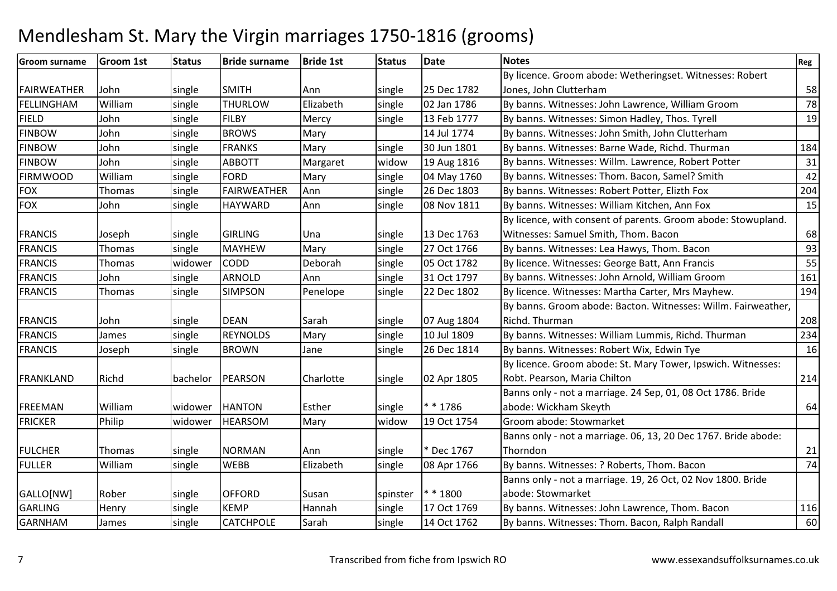| <b>Groom surname</b> | <b>Groom 1st</b> | <b>Status</b> | <b>Bride surname</b> | <b>Bride 1st</b> | <b>Status</b> | <b>Date</b> | <b>Notes</b>                                                   | Reg |
|----------------------|------------------|---------------|----------------------|------------------|---------------|-------------|----------------------------------------------------------------|-----|
|                      |                  |               |                      |                  |               |             | By licence. Groom abode: Wetheringset. Witnesses: Robert       |     |
| <b>FAIRWEATHER</b>   | John             | single        | <b>SMITH</b>         | Ann              | single        | 25 Dec 1782 | Jones, John Clutterham                                         | 58  |
| FELLINGHAM           | William          | single        | <b>THURLOW</b>       | Elizabeth        | single        | 02 Jan 1786 | By banns. Witnesses: John Lawrence, William Groom              | 78  |
| <b>FIELD</b>         | John             | single        | <b>FILBY</b>         | Mercy            | single        | 13 Feb 1777 | By banns. Witnesses: Simon Hadley, Thos. Tyrell                | 19  |
| <b>FINBOW</b>        | John             | single        | <b>BROWS</b>         | Mary             |               | 14 Jul 1774 | By banns. Witnesses: John Smith, John Clutterham               |     |
| <b>FINBOW</b>        | John             | single        | <b>FRANKS</b>        | Mary             | single        | 30 Jun 1801 | By banns. Witnesses: Barne Wade, Richd. Thurman                | 184 |
| <b>FINBOW</b>        | John             | single        | <b>ABBOTT</b>        | Margaret         | widow         | 19 Aug 1816 | By banns. Witnesses: Willm. Lawrence, Robert Potter            | 31  |
| <b>FIRMWOOD</b>      | William          | single        | <b>FORD</b>          | Mary             | single        | 04 May 1760 | By banns. Witnesses: Thom. Bacon, Samel? Smith                 | 42  |
| <b>FOX</b>           | Thomas           | single        | <b>FAIRWEATHER</b>   | Ann              | single        | 26 Dec 1803 | By banns. Witnesses: Robert Potter, Elizth Fox                 | 204 |
| <b>FOX</b>           | John             | single        | <b>HAYWARD</b>       | Ann              | single        | 08 Nov 1811 | By banns. Witnesses: William Kitchen, Ann Fox                  | 15  |
|                      |                  |               |                      |                  |               |             | By licence, with consent of parents. Groom abode: Stowupland.  |     |
| <b>FRANCIS</b>       | Joseph           | single        | <b>GIRLING</b>       | Una              | single        | 13 Dec 1763 | Witnesses: Samuel Smith, Thom. Bacon                           | 68  |
| <b>FRANCIS</b>       | Thomas           | single        | <b>MAYHEW</b>        | Mary             | single        | 27 Oct 1766 | By banns. Witnesses: Lea Hawys, Thom. Bacon                    | 93  |
| <b>FRANCIS</b>       | Thomas           | widower       | <b>CODD</b>          | Deborah          | single        | 05 Oct 1782 | By licence. Witnesses: George Batt, Ann Francis                | 55  |
| <b>FRANCIS</b>       | John             | single        | <b>ARNOLD</b>        | Ann              | single        | 31 Oct 1797 | By banns. Witnesses: John Arnold, William Groom                | 161 |
| <b>FRANCIS</b>       | Thomas           | single        | <b>SIMPSON</b>       | Penelope         | single        | 22 Dec 1802 | By licence. Witnesses: Martha Carter, Mrs Mayhew.              | 194 |
|                      |                  |               |                      |                  |               |             | By banns. Groom abode: Bacton. Witnesses: Willm. Fairweather,  |     |
| <b>FRANCIS</b>       | John             | single        | <b>DEAN</b>          | Sarah            | single        | 07 Aug 1804 | Richd. Thurman                                                 | 208 |
| <b>FRANCIS</b>       | James            | single        | <b>REYNOLDS</b>      | Mary             | single        | 10 Jul 1809 | By banns. Witnesses: William Lummis, Richd. Thurman            | 234 |
| <b>FRANCIS</b>       | Joseph           | single        | <b>BROWN</b>         | Jane             | single        | 26 Dec 1814 | By banns. Witnesses: Robert Wix, Edwin Tye                     | 16  |
|                      |                  |               |                      |                  |               |             | By licence. Groom abode: St. Mary Tower, Ipswich. Witnesses:   |     |
| <b>FRANKLAND</b>     | Richd            | bachelor      | PEARSON              | Charlotte        | single        | 02 Apr 1805 | Robt. Pearson, Maria Chilton                                   | 214 |
|                      |                  |               |                      |                  |               |             | Banns only - not a marriage. 24 Sep, 01, 08 Oct 1786. Bride    |     |
| <b>FREEMAN</b>       | William          | widower       | <b>HANTON</b>        | Esther           | single        | * * 1786    | abode: Wickham Skeyth                                          | 64  |
| <b>FRICKER</b>       | Philip           | widower       | <b>HEARSOM</b>       | Mary             | widow         | 19 Oct 1754 | Groom abode: Stowmarket                                        |     |
|                      |                  |               |                      |                  |               |             | Banns only - not a marriage. 06, 13, 20 Dec 1767. Bride abode: |     |
| <b>FULCHER</b>       | <b>Thomas</b>    | single        | <b>NORMAN</b>        | Ann              | single        | * Dec 1767  | Thorndon                                                       | 21  |
| <b>FULLER</b>        | William          | single        | <b>WEBB</b>          | Elizabeth        | single        | 08 Apr 1766 | By banns. Witnesses: ? Roberts, Thom. Bacon                    | 74  |
|                      |                  |               |                      |                  |               |             | Banns only - not a marriage. 19, 26 Oct, 02 Nov 1800. Bride    |     |
| GALLO[NW]            | Rober            | single        | <b>OFFORD</b>        | Susan            | spinster      | $* * 1800$  | abode: Stowmarket                                              |     |
| GARLING              | Henry            | single        | <b>KEMP</b>          | Hannah           | single        | 17 Oct 1769 | By banns. Witnesses: John Lawrence, Thom. Bacon                | 116 |
| <b>GARNHAM</b>       | James            | single        | <b>CATCHPOLE</b>     | Sarah            | single        | 14 Oct 1762 | By banns. Witnesses: Thom. Bacon, Ralph Randall                | 60  |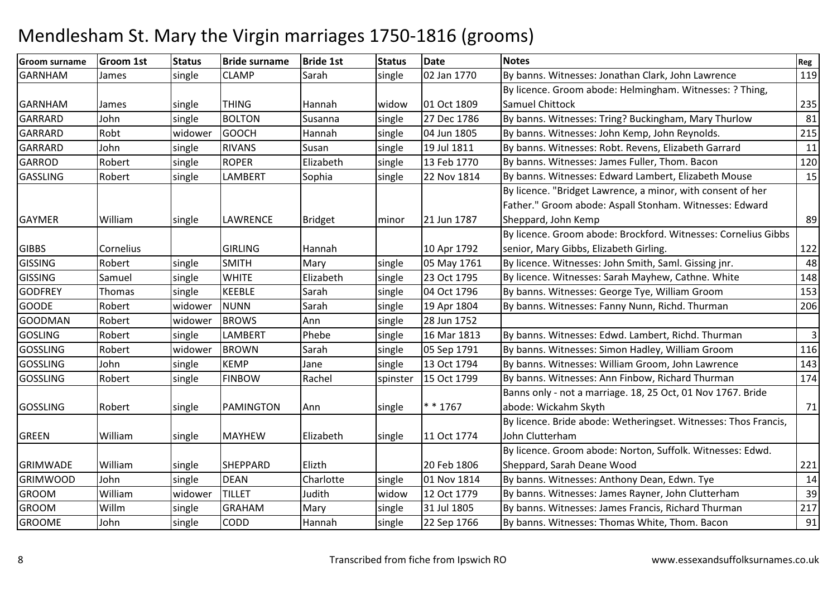| <b>Groom surname</b> | <b>Groom 1st</b> | <b>Status</b> | <b>Bride surname</b> | <b>Bride 1st</b> | <b>Status</b> | <b>Date</b> | <b>Notes</b>                                                    | Reg            |
|----------------------|------------------|---------------|----------------------|------------------|---------------|-------------|-----------------------------------------------------------------|----------------|
| <b>GARNHAM</b>       | James            | single        | <b>CLAMP</b>         | Sarah            | single        | 02 Jan 1770 | By banns. Witnesses: Jonathan Clark, John Lawrence              | 119            |
|                      |                  |               |                      |                  |               |             | By licence. Groom abode: Helmingham. Witnesses: ? Thing,        |                |
| <b>GARNHAM</b>       | <b>James</b>     | single        | <b>THING</b>         | Hannah           | widow         | 01 Oct 1809 | Samuel Chittock                                                 | 235            |
| <b>GARRARD</b>       | John             | single        | <b>BOLTON</b>        | Susanna          | single        | 27 Dec 1786 | By banns. Witnesses: Tring? Buckingham, Mary Thurlow            | 81             |
| <b>GARRARD</b>       | Robt             | widower       | <b>GOOCH</b>         | Hannah           | single        | 04 Jun 1805 | By banns. Witnesses: John Kemp, John Reynolds.                  | 215            |
| GARRARD              | John             | single        | <b>RIVANS</b>        | Susan            | single        | 19 Jul 1811 | By banns. Witnesses: Robt. Revens, Elizabeth Garrard            | 11             |
| <b>GARROD</b>        | Robert           | single        | <b>ROPER</b>         | Elizabeth        | single        | 13 Feb 1770 | By banns. Witnesses: James Fuller, Thom. Bacon                  | 120            |
| <b>GASSLING</b>      | Robert           | single        | <b>LAMBERT</b>       | Sophia           | single        | 22 Nov 1814 | By banns. Witnesses: Edward Lambert, Elizabeth Mouse            | 15             |
|                      |                  |               |                      |                  |               |             | By licence. "Bridget Lawrence, a minor, with consent of her     |                |
|                      |                  |               |                      |                  |               |             | Father." Groom abode: Aspall Stonham. Witnesses: Edward         |                |
| <b>GAYMER</b>        | William          | single        | <b>LAWRENCE</b>      | <b>Bridget</b>   | minor         | 21 Jun 1787 | Sheppard, John Kemp                                             | 89             |
|                      |                  |               |                      |                  |               |             | By licence. Groom abode: Brockford. Witnesses: Cornelius Gibbs  |                |
| <b>GIBBS</b>         | Cornelius        |               | <b>GIRLING</b>       | Hannah           |               | 10 Apr 1792 | senior, Mary Gibbs, Elizabeth Girling.                          | 122            |
| <b>GISSING</b>       | Robert           | single        | <b>SMITH</b>         | Mary             | single        | 05 May 1761 | By licence. Witnesses: John Smith, Saml. Gissing jnr.           | 48             |
| <b>GISSING</b>       | Samuel           | single        | <b>WHITE</b>         | Elizabeth        | single        | 23 Oct 1795 | By licence. Witnesses: Sarah Mayhew, Cathne. White              | 148            |
| <b>GODFREY</b>       | Thomas           | single        | <b>KEEBLE</b>        | Sarah            | single        | 04 Oct 1796 | By banns. Witnesses: George Tye, William Groom                  | 153            |
| <b>GOODE</b>         | Robert           | widower       | <b>NUNN</b>          | Sarah            | single        | 19 Apr 1804 | By banns. Witnesses: Fanny Nunn, Richd. Thurman                 | 206            |
| <b>GOODMAN</b>       | Robert           | widower       | <b>BROWS</b>         | Ann              | single        | 28 Jun 1752 |                                                                 |                |
| <b>GOSLING</b>       | Robert           | single        | <b>LAMBERT</b>       | Phebe            | single        | 16 Mar 1813 | By banns. Witnesses: Edwd. Lambert, Richd. Thurman              | $\overline{3}$ |
| <b>GOSSLING</b>      | Robert           | widower       | <b>BROWN</b>         | Sarah            | single        | 05 Sep 1791 | By banns. Witnesses: Simon Hadley, William Groom                | 116            |
| <b>GOSSLING</b>      | John             | single        | <b>KEMP</b>          | Jane             | single        | 13 Oct 1794 | By banns. Witnesses: William Groom, John Lawrence               | 143            |
| <b>GOSSLING</b>      | Robert           | single        | <b>FINBOW</b>        | Rachel           | spinster      | 15 Oct 1799 | By banns. Witnesses: Ann Finbow, Richard Thurman                | 174            |
|                      |                  |               |                      |                  |               |             | Banns only - not a marriage. 18, 25 Oct, 01 Nov 1767. Bride     |                |
| <b>GOSSLING</b>      | Robert           | single        | PAMINGTON            | Ann              | single        | $* * 1767$  | abode: Wickahm Skyth                                            | 71             |
|                      |                  |               |                      |                  |               |             | By licence. Bride abode: Wetheringset. Witnesses: Thos Francis, |                |
| <b>GREEN</b>         | William          | single        | <b>MAYHEW</b>        | Elizabeth        | single        | 11 Oct 1774 | John Clutterham                                                 |                |
|                      |                  |               |                      |                  |               |             | By licence. Groom abode: Norton, Suffolk. Witnesses: Edwd.      |                |
| <b>GRIMWADE</b>      | William          | single        | <b>SHEPPARD</b>      | Elizth           |               | 20 Feb 1806 | Sheppard, Sarah Deane Wood                                      | 221            |
| <b>GRIMWOOD</b>      | John             | single        | <b>DEAN</b>          | Charlotte        | single        | 01 Nov 1814 | By banns. Witnesses: Anthony Dean, Edwn. Tye                    | 14             |
| <b>GROOM</b>         | William          | widower       | <b>TILLET</b>        | Judith           | widow         | 12 Oct 1779 | By banns. Witnesses: James Rayner, John Clutterham              | 39             |
| <b>GROOM</b>         | Willm            | single        | <b>GRAHAM</b>        | Mary             | single        | 31 Jul 1805 | By banns. Witnesses: James Francis, Richard Thurman             | 217            |
| <b>GROOME</b>        | John             | single        | <b>CODD</b>          | Hannah           | single        | 22 Sep 1766 | By banns. Witnesses: Thomas White, Thom. Bacon                  | 91             |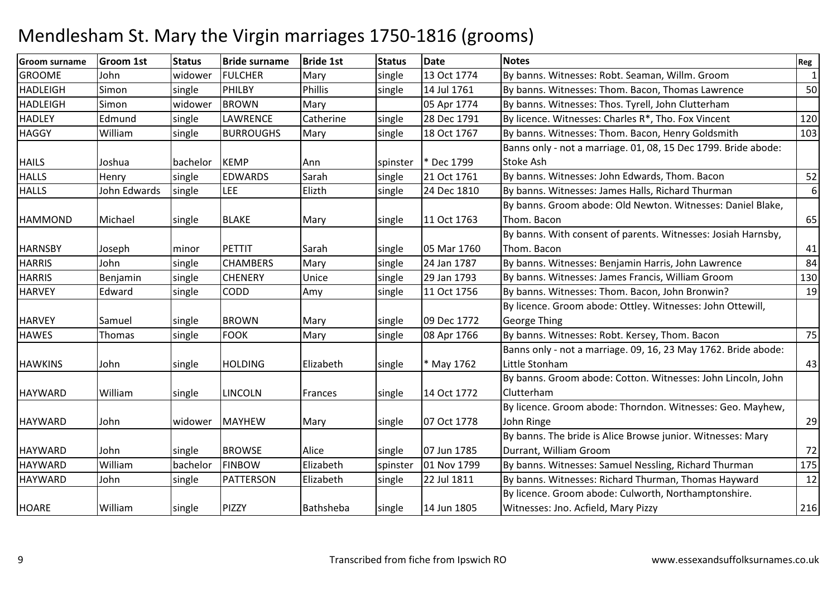| <b>Groom surname</b> | <b>Groom 1st</b> | <b>Status</b> | <b>Bride surname</b> | <b>Bride 1st</b> | <b>Status</b> | <b>Date</b> | <b>Notes</b>                                                   | Reg       |
|----------------------|------------------|---------------|----------------------|------------------|---------------|-------------|----------------------------------------------------------------|-----------|
| <b>GROOME</b>        | John             | widower       | <b>FULCHER</b>       | Mary             | single        | 13 Oct 1774 | By banns. Witnesses: Robt. Seaman, Willm. Groom                | $\vert$ 1 |
| <b>HADLEIGH</b>      | Simon            | single        | PHILBY               | Phillis          | single        | 14 Jul 1761 | By banns. Witnesses: Thom. Bacon, Thomas Lawrence              | 50        |
| <b>HADLEIGH</b>      | Simon            | widower       | <b>BROWN</b>         | Mary             |               | 05 Apr 1774 | By banns. Witnesses: Thos. Tyrell, John Clutterham             |           |
| <b>HADLEY</b>        | Edmund           | single        | <b>LAWRENCE</b>      | Catherine        | single        | 28 Dec 1791 | By licence. Witnesses: Charles R*, Tho. Fox Vincent            | 120       |
| <b>HAGGY</b>         | William          | single        | <b>BURROUGHS</b>     | Mary             | single        | 18 Oct 1767 | By banns. Witnesses: Thom. Bacon, Henry Goldsmith              | 103       |
|                      |                  |               |                      |                  |               |             | Banns only - not a marriage. 01, 08, 15 Dec 1799. Bride abode: |           |
| <b>HAILS</b>         | Joshua           | bachelor      | <b>KEMP</b>          | Ann              | spinster      | * Dec 1799  | Stoke Ash                                                      |           |
| <b>HALLS</b>         | Henry            | single        | <b>EDWARDS</b>       | Sarah            | single        | 21 Oct 1761 | By banns. Witnesses: John Edwards, Thom. Bacon                 | 52        |
| <b>HALLS</b>         | John Edwards     | single        | <b>LEE</b>           | Elizth           | single        | 24 Dec 1810 | By banns. Witnesses: James Halls, Richard Thurman              | $6 \mid$  |
|                      |                  |               |                      |                  |               |             | By banns. Groom abode: Old Newton. Witnesses: Daniel Blake,    |           |
| <b>HAMMOND</b>       | Michael          | single        | <b>BLAKE</b>         | Mary             | single        | 11 Oct 1763 | Thom. Bacon                                                    | 65        |
|                      |                  |               |                      |                  |               |             | By banns. With consent of parents. Witnesses: Josiah Harnsby,  |           |
| <b>HARNSBY</b>       | Joseph           | minor         | PETTIT               | Sarah            | single        | 05 Mar 1760 | Thom. Bacon                                                    | 41        |
| <b>HARRIS</b>        | John             | single        | <b>CHAMBERS</b>      | Mary             | single        | 24 Jan 1787 | By banns. Witnesses: Benjamin Harris, John Lawrence            | 84        |
| <b>HARRIS</b>        | Benjamin         | single        | <b>CHENERY</b>       | Unice            | single        | 29 Jan 1793 | By banns. Witnesses: James Francis, William Groom              | 130       |
| <b>HARVEY</b>        | Edward           | single        | <b>CODD</b>          | Amy              | single        | 11 Oct 1756 | By banns. Witnesses: Thom. Bacon, John Bronwin?                | 19        |
|                      |                  |               |                      |                  |               |             | By licence. Groom abode: Ottley. Witnesses: John Ottewill,     |           |
| <b>HARVEY</b>        | Samuel           | single        | <b>BROWN</b>         | Mary             | single        | 09 Dec 1772 | <b>George Thing</b>                                            |           |
| <b>HAWES</b>         | Thomas           | single        | <b>FOOK</b>          | Mary             | single        | 08 Apr 1766 | By banns. Witnesses: Robt. Kersey, Thom. Bacon                 | 75        |
|                      |                  |               |                      |                  |               |             | Banns only - not a marriage. 09, 16, 23 May 1762. Bride abode: |           |
| <b>HAWKINS</b>       | John             | single        | <b>HOLDING</b>       | Elizabeth        | single        | * May 1762  | Little Stonham                                                 | 43        |
|                      |                  |               |                      |                  |               |             | By banns. Groom abode: Cotton. Witnesses: John Lincoln, John   |           |
| <b>HAYWARD</b>       | William          | single        | <b>LINCOLN</b>       | Frances          | single        | 14 Oct 1772 | Clutterham                                                     |           |
|                      |                  |               |                      |                  |               |             | By licence. Groom abode: Thorndon. Witnesses: Geo. Mayhew,     |           |
| <b>HAYWARD</b>       | John             | widower       | <b>MAYHEW</b>        | Mary             | single        | 07 Oct 1778 | John Ringe                                                     | 29        |
|                      |                  |               |                      |                  |               |             | By banns. The bride is Alice Browse junior. Witnesses: Mary    |           |
| <b>HAYWARD</b>       | John             | single        | <b>BROWSE</b>        | Alice            | single        | 07 Jun 1785 | Durrant, William Groom                                         | 72        |
| <b>HAYWARD</b>       | William          | bachelor      | <b>FINBOW</b>        | Elizabeth        | spinster      | 01 Nov 1799 | By banns. Witnesses: Samuel Nessling, Richard Thurman          | 175       |
| <b>HAYWARD</b>       | John             | single        | <b>PATTERSON</b>     | Elizabeth        | single        | 22 Jul 1811 | By banns. Witnesses: Richard Thurman, Thomas Hayward           | 12        |
|                      |                  |               |                      |                  |               |             | By licence. Groom abode: Culworth, Northamptonshire.           |           |
| <b>HOARE</b>         | William          | single        | PIZZY                | Bathsheba        | single        | 14 Jun 1805 | Witnesses: Jno. Acfield, Mary Pizzy                            | 216       |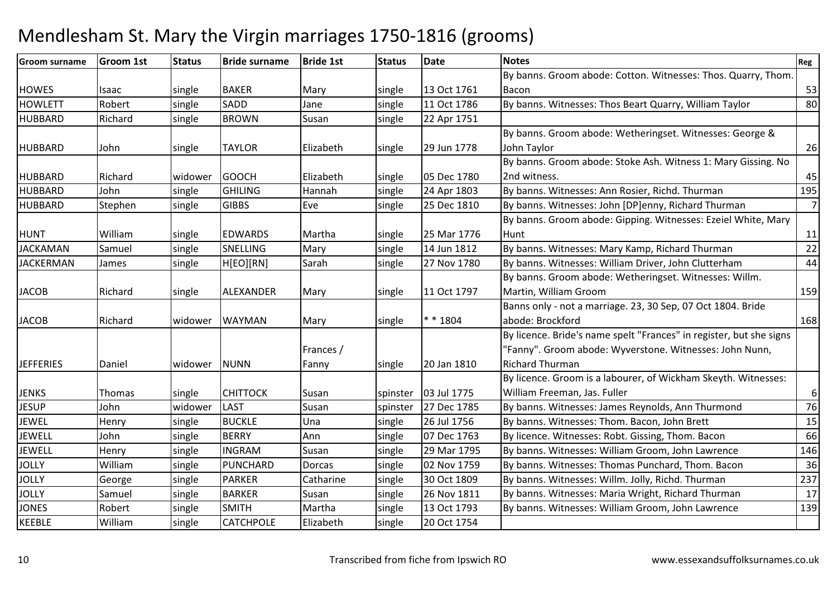#### Groom surnameGroom 1st 15tatus Bride surname e Bride 1st Status Date Notes Regional Region Regional Regional Regional Regional Regional Regional Regional Reg HOWES | Isaac | single | BAKER | Mary | single | 13 Oct 1761 11 Oct 1786 By banns. Groom abode: Cotton. Witnesses: Thos. Quarry, Thom. Baconn 53  $\overline{80}$ **HOWLETT** Robert single SADDJane single 11 Oct 1786 By banns. Witnesses: Thos Beart Quarry, William Taylor<br>Susan single 22 Apr 1751 HUBBARDRichard Isingle BROWN 22 Apr 1751 HUBBARD John single TAYLOR Elizabeth single 29 Jun 1778By banns. Groom abode: Wetheringset. Witnesses: George & John Taylor $r \hspace{2.5cm} 26$ HUBBARD Richard widower GOOCH Elizabeth single 05 Dec 178024 Apr 1803 By banns. Groom abode: Stoke Ash. Witness 1: Mary Gissing. No 2nd witness. 45195 HUBBARDD John single GHILING GHILING | Hannah | single 24 Apr 1803 | By banns. Witnesses: Ann Rosier, Richd. Thurman |<br>| GIBBS | Eve | single 25 Dec 1810 | By banns. Witnesses: John [DP]enny, Richard Thur HUBBARDStephen Stephen Stephen Stephen Stephen Stephen Stephen Stephen Stephen Stephen Stephen Stephen Stephen Stephen Stephen Stephen Stephen Stephen Stephen Stephen Stephen Stephen Stephen Stephen Stephen Stephen Stephen Stephe 7HUNT William single EDWARDS Martha single 25 Mar 177614 Jun 1812 By banns. Groom abode: Gipping. Witnesses: Ezeiel White, Mary Huntt and  $\begin{bmatrix} 11 \end{bmatrix}$  $\overline{22}$ JACKAMANSamuel Single SNELLING Mary Single 14 Jun 1812 By banns. Witnesses: Mary Kamp, Richard Thurman 22 States 22 States<br>Single HIEOIIRNI Sarah Single 27 Nov 1780 By banns. Witnesses: William Driver, John Clutterham 44 JACKERMANBy banns. Witnesses: William Driver, John Clutterham m 44 JACOB Richard single ALEXANDER Mary single 11 Oct 1797By banns. Groom abode: Wetheringset. Witnesses: Willm. Martin, William Groom <sup>159</sup> Banns only - not a marriage. 23, 30 Sep, 07 Oct 1804. Bride JACOB Richard widower WAYMAN Mary single \* \* 1804abode: Brockfordd 168 JEFFERIES Daniel widower NUNNFrances / Fannysingle 20 Jan 1810 By licence. Bride's name spelt "Frances" in register, but she signs "Fanny". Groom abode: Wyverstone. Witnesses: John Nunn, Richard Thurman By licence. Groom is a labourer, of Wickham Skeyth. Witnesses: JENKS Thomas Single CHITTOCK Susan Spinster 103 Jul 1775 27 Dec 1785 William Freeman, Jas. Fuller676 **JESUP** John 1999 widower LAST 1999 Susan 1999 Spinster 27 Dec 1785 By banns. Witnesses: James Reynolds, Ann Thurmond 19<br>15 Henry 1999 Single BUCKLE Una 15 Single 26 Jul 1756 By banns. Witnesses: Thom. Bacon. John Brett JEWEL**Henry**  singleUna single 26 Jul 1756 By banns. Witnesses: Thom. Bacon, John Brett 15<br>By licence. Witnesses: Robt. Gissing, Thom. Bacon 66 JEWELL Johnsingle BERRY Ann Single 07 Dec 1763 By licence. Witnesses: Robt. Gissing, Thom. Bacon 66<br>Single INGRAM Susan Single 29 Mar 1795 By banns. Witnesses: William Groom. John Lawrence JEWELL**Henry**  single**INGRAM**<br>PUNCHARD Susan 19th single 129 Mar 1795 By banns. Witnesses: William Groom, John Lawrence 146<br>Dorcas 19th Single 102 Nov 1759 By banns. Witnesses: Thomas Punchard, Thom. Bacon JOLLY Williamsingle PUNCHARD Dorcas single 02 Nov 1759 By banns. Witnesses: Thomas Punchard, Thom. Bacon 36<br>single PARKER Catharine single 30 Oct 1809 By banns. Witnesses: Willm. Jolly, Richd. Thurman 237 **JOLLY**  George**PARKER** By banns. Witnesses: Willm. Jolly, Richd. Thurman 237<br>By banns. Witnesses: Maria Wright. Richard Thurman 2017 JOLLYSamuel Isingle BARKERSusan 1912 Isingle 26 Nov 1811 By banns. Witnesses: Maria Wright, Richard Thurman 17<br>Martha 1912 Isingle 13 Oct 1793 By banns. Witnesses: William Groom, John Lawrence JONESRobert single SMITHSMITH Martha single 13 Oct 1793 By banns. Witnesses: William Groom, John Lawrence CATCHPOLE Elizabeth single 20 Oct 1754 KEEBLE Williamm Single CATCHPOLE Elizabeth Single 20 Oct 1754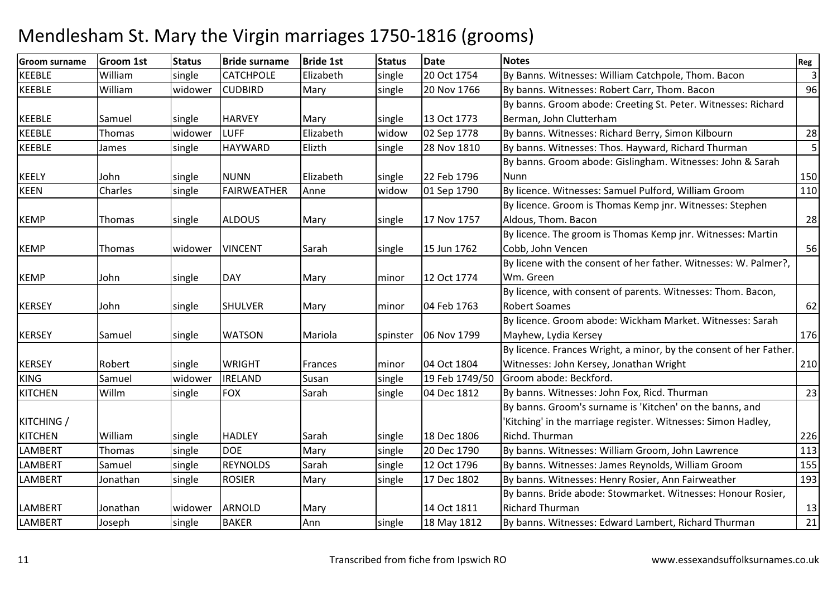| <b>Groom surname</b> | <b>Groom 1st</b> | <b>Status</b> | <b>Bride surname</b> | <b>Bride 1st</b> | <b>Status</b> | <b>Date</b>    | <b>Notes</b>                                                       | Reg          |
|----------------------|------------------|---------------|----------------------|------------------|---------------|----------------|--------------------------------------------------------------------|--------------|
| <b>KEEBLE</b>        | William          | single        | <b>CATCHPOLE</b>     | Elizabeth        | single        | 20 Oct 1754    | By Banns. Witnesses: William Catchpole, Thom. Bacon                | $\mathsf{3}$ |
| <b>KEEBLE</b>        | William          | widower       | <b>CUDBIRD</b>       | Mary             | single        | 20 Nov 1766    | By banns. Witnesses: Robert Carr, Thom. Bacon                      | 96           |
|                      |                  |               |                      |                  |               |                | By banns. Groom abode: Creeting St. Peter. Witnesses: Richard      |              |
| <b>KEEBLE</b>        | Samuel           | single        | <b>HARVEY</b>        | Mary             | single        | 13 Oct 1773    | Berman, John Clutterham                                            |              |
| KEEBLE               | Thomas           | widower       | <b>LUFF</b>          | Elizabeth        | widow         | 02 Sep 1778    | By banns. Witnesses: Richard Berry, Simon Kilbourn                 | 28           |
| KEEBLE               | James            | single        | <b>HAYWARD</b>       | Elizth           | single        | 28 Nov 1810    | By banns. Witnesses: Thos. Hayward, Richard Thurman                | 5            |
|                      |                  |               |                      |                  |               |                | By banns. Groom abode: Gislingham. Witnesses: John & Sarah         |              |
| <b>KEELY</b>         | John             | single        | <b>NUNN</b>          | Elizabeth        | single        | 22 Feb 1796    | Nunn                                                               | 150          |
| <b>KEEN</b>          | Charles          | single        | <b>FAIRWEATHER</b>   | Anne             | widow         | 01 Sep 1790    | By licence. Witnesses: Samuel Pulford, William Groom               | 110          |
|                      |                  |               |                      |                  |               |                | By licence. Groom is Thomas Kemp jnr. Witnesses: Stephen           |              |
| <b>KEMP</b>          | Thomas           | single        | <b>ALDOUS</b>        | Mary             | single        | 17 Nov 1757    | Aldous, Thom. Bacon                                                | 28           |
|                      |                  |               |                      |                  |               |                | By licence. The groom is Thomas Kemp jnr. Witnesses: Martin        |              |
| <b>KEMP</b>          | Thomas           | widower       | <b>VINCENT</b>       | Sarah            | single        | 15 Jun 1762    | Cobb, John Vencen                                                  | 56           |
|                      |                  |               |                      |                  |               |                | By licene with the consent of her father. Witnesses: W. Palmer?,   |              |
| <b>KEMP</b>          | John             | single        | <b>DAY</b>           | Mary             | minor         | 12 Oct 1774    | Wm. Green                                                          |              |
|                      |                  |               |                      |                  |               |                | By licence, with consent of parents. Witnesses: Thom. Bacon,       |              |
| <b>KERSEY</b>        | John             | single        | <b>SHULVER</b>       | Mary             | minor         | 04 Feb 1763    | <b>Robert Soames</b>                                               | 62           |
|                      |                  |               |                      |                  |               |                | By licence. Groom abode: Wickham Market. Witnesses: Sarah          |              |
| <b>KERSEY</b>        | Samuel           | single        | <b>WATSON</b>        | Mariola          | spinster      | 06 Nov 1799    | Mayhew, Lydia Kersey                                               | 176          |
|                      |                  |               |                      |                  |               |                | By licence. Frances Wright, a minor, by the consent of her Father. |              |
| <b>KERSEY</b>        | Robert           | single        | <b>WRIGHT</b>        | Frances          | minor         | 04 Oct 1804    | Witnesses: John Kersey, Jonathan Wright                            | 210          |
| <b>KING</b>          | Samuel           | widower       | <b>IRELAND</b>       | Susan            | single        | 19 Feb 1749/50 | Groom abode: Beckford.                                             |              |
| <b>KITCHEN</b>       | Willm            | single        | <b>FOX</b>           | Sarah            | single        | 04 Dec 1812    | By banns. Witnesses: John Fox, Ricd. Thurman                       | 23           |
|                      |                  |               |                      |                  |               |                | By banns. Groom's surname is 'Kitchen' on the banns, and           |              |
| KITCHING /           |                  |               |                      |                  |               |                | 'Kitching' in the marriage register. Witnesses: Simon Hadley,      |              |
| <b>KITCHEN</b>       | William          | single        | <b>HADLEY</b>        | Sarah            | single        | 18 Dec 1806    | Richd. Thurman                                                     | 226          |
| <b>LAMBERT</b>       | Thomas           | single        | <b>DOE</b>           | Mary             | single        | 20 Dec 1790    | By banns. Witnesses: William Groom, John Lawrence                  | 113          |
| <b>LAMBERT</b>       | Samuel           | single        | <b>REYNOLDS</b>      | Sarah            | single        | 12 Oct 1796    | By banns. Witnesses: James Reynolds, William Groom                 | 155          |
| <b>LAMBERT</b>       | Jonathan         | single        | <b>ROSIER</b>        | Mary             | single        | 17 Dec 1802    | By banns. Witnesses: Henry Rosier, Ann Fairweather                 | 193          |
|                      |                  |               |                      |                  |               |                | By banns. Bride abode: Stowmarket. Witnesses: Honour Rosier,       |              |
| <b>LAMBERT</b>       | Jonathan         | widower       | <b>ARNOLD</b>        | Mary             |               | 14 Oct 1811    | <b>Richard Thurman</b>                                             | 13           |
| LAMBERT              | Joseph           | single        | <b>BAKER</b>         | Ann              | single        | 18 May 1812    | By banns. Witnesses: Edward Lambert, Richard Thurman               | 21           |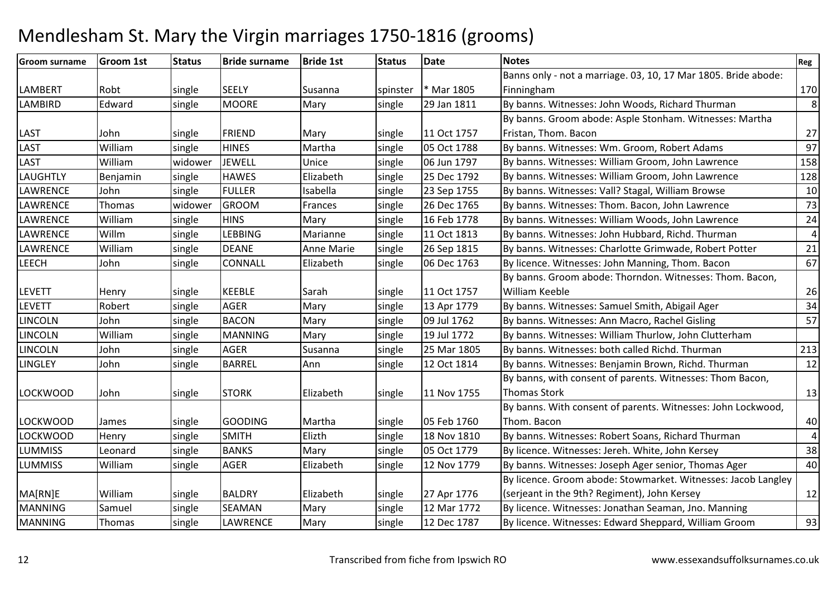| <b>Groom surname</b> | <b>Groom 1st</b> | <b>Status</b> | <b>Bride surname</b> | <b>Bride 1st</b> | <b>Status</b> | <b>Date</b> | <b>Notes</b>                                                   | Reg             |
|----------------------|------------------|---------------|----------------------|------------------|---------------|-------------|----------------------------------------------------------------|-----------------|
|                      |                  |               |                      |                  |               |             | Banns only - not a marriage. 03, 10, 17 Mar 1805. Bride abode: |                 |
| <b>LAMBERT</b>       | Robt             | single        | <b>SEELY</b>         | Susanna          | spinster      | Mar 1805    | Finningham                                                     | 170             |
| <b>LAMBIRD</b>       | Edward           | single        | <b>MOORE</b>         | Mary             | single        | 29 Jan 1811 | By banns. Witnesses: John Woods, Richard Thurman               | 8 <sup>1</sup>  |
|                      |                  |               |                      |                  |               |             | By banns. Groom abode: Asple Stonham. Witnesses: Martha        |                 |
| <b>LAST</b>          | John             | single        | <b>FRIEND</b>        | Mary             | single        | 11 Oct 1757 | Fristan, Thom. Bacon                                           | 27              |
| <b>LAST</b>          | William          | single        | <b>HINES</b>         | Martha           | single        | 05 Oct 1788 | By banns. Witnesses: Wm. Groom, Robert Adams                   | 97              |
| <b>LAST</b>          | William          | widower       | <b>JEWELL</b>        | Unice            | single        | 06 Jun 1797 | By banns. Witnesses: William Groom, John Lawrence              | 158             |
| <b>LAUGHTLY</b>      | Benjamin         | single        | <b>HAWES</b>         | Elizabeth        | single        | 25 Dec 1792 | By banns. Witnesses: William Groom, John Lawrence              | 128             |
| LAWRENCE             | John             | single        | <b>FULLER</b>        | Isabella         | single        | 23 Sep 1755 | By banns. Witnesses: Vall? Stagal, William Browse              | 10              |
| <b>LAWRENCE</b>      | Thomas           | widower       | <b>GROOM</b>         | Frances          | single        | 26 Dec 1765 | By banns. Witnesses: Thom. Bacon, John Lawrence                | 73              |
| <b>LAWRENCE</b>      | William          | single        | <b>HINS</b>          | Mary             | single        | 16 Feb 1778 | By banns. Witnesses: William Woods, John Lawrence              | 24              |
| <b>LAWRENCE</b>      | Willm            | single        | LEBBING              | Marianne         | single        | 11 Oct 1813 | By banns. Witnesses: John Hubbard, Richd. Thurman              | $\vert 4 \vert$ |
| <b>LAWRENCE</b>      | William          | single        | <b>DEANE</b>         | Anne Marie       | single        | 26 Sep 1815 | By banns. Witnesses: Charlotte Grimwade, Robert Potter         | 21              |
| <b>LEECH</b>         | John             | single        | <b>CONNALL</b>       | Elizabeth        | single        | 06 Dec 1763 | By licence. Witnesses: John Manning, Thom. Bacon               | 67              |
|                      |                  |               |                      |                  |               |             | By banns. Groom abode: Thorndon. Witnesses: Thom. Bacon,       |                 |
| <b>LEVETT</b>        | Henry            | single        | <b>KEEBLE</b>        | Sarah            | single        | 11 Oct 1757 | William Keeble                                                 | 26              |
| <b>LEVETT</b>        | Robert           | single        | <b>AGER</b>          | Mary             | single        | 13 Apr 1779 | By banns. Witnesses: Samuel Smith, Abigail Ager                | 34              |
| <b>LINCOLN</b>       | John             | single        | <b>BACON</b>         | Mary             | single        | 09 Jul 1762 | By banns. Witnesses: Ann Macro, Rachel Gisling                 | 57              |
| <b>LINCOLN</b>       | William          | single        | <b>MANNING</b>       | Mary             | single        | 19 Jul 1772 | By banns. Witnesses: William Thurlow, John Clutterham          |                 |
| <b>LINCOLN</b>       | John             | single        | <b>AGER</b>          | Susanna          | single        | 25 Mar 1805 | By banns. Witnesses: both called Richd. Thurman                | 213             |
| <b>LINGLEY</b>       | John             | single        | <b>BARREL</b>        | Ann              | single        | 12 Oct 1814 | By banns. Witnesses: Benjamin Brown, Richd. Thurman            | 12              |
|                      |                  |               |                      |                  |               |             | By banns, with consent of parents. Witnesses: Thom Bacon,      |                 |
| <b>LOCKWOOD</b>      | John             | single        | <b>STORK</b>         | Elizabeth        | single        | 11 Nov 1755 | <b>Thomas Stork</b>                                            | 13              |
|                      |                  |               |                      |                  |               |             | By banns. With consent of parents. Witnesses: John Lockwood,   |                 |
| <b>LOCKWOOD</b>      | James            | single        | <b>GOODING</b>       | Martha           | single        | 05 Feb 1760 | Thom. Bacon                                                    | 40              |
| <b>LOCKWOOD</b>      | Henry            | single        | <b>SMITH</b>         | Elizth           | single        | 18 Nov 1810 | By banns. Witnesses: Robert Soans, Richard Thurman             | $\vert 4 \vert$ |
| <b>LUMMISS</b>       | Leonard          | single        | <b>BANKS</b>         | Mary             | single        | 05 Oct 1779 | By licence. Witnesses: Jereh. White, John Kersey               | 38              |
| <b>LUMMISS</b>       | William          | single        | <b>AGER</b>          | Elizabeth        | single        | 12 Nov 1779 | By banns. Witnesses: Joseph Ager senior, Thomas Ager           | 40              |
|                      |                  |               |                      |                  |               |             | By licence. Groom abode: Stowmarket. Witnesses: Jacob Langley  |                 |
| MA[RN]E              | William          | single        | <b>BALDRY</b>        | Elizabeth        | single        | 27 Apr 1776 | (serjeant in the 9th? Regiment), John Kersey                   | 12              |
| <b>MANNING</b>       | Samuel           | single        | SEAMAN               | Mary             | single        | 12 Mar 1772 | By licence. Witnesses: Jonathan Seaman, Jno. Manning           |                 |
| <b>MANNING</b>       | Thomas           | single        | LAWRENCE             | Mary             | single        | 12 Dec 1787 | By licence. Witnesses: Edward Sheppard, William Groom          | 93              |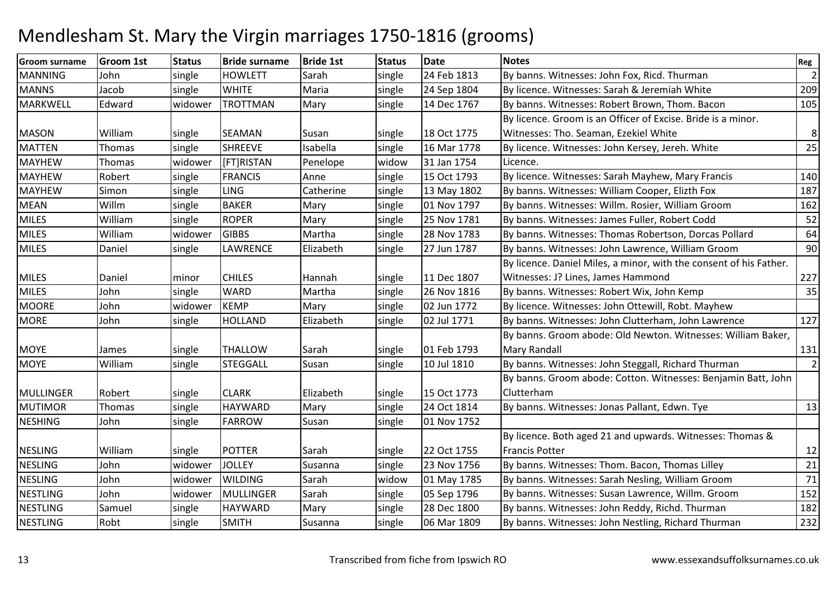| <b>Groom surname</b> | <b>Groom 1st</b> | <b>Status</b> | <b>Bride surname</b> | <b>Bride 1st</b> | <b>Status</b> | <b>Date</b> | <b>Notes</b>                                                       | Reg            |
|----------------------|------------------|---------------|----------------------|------------------|---------------|-------------|--------------------------------------------------------------------|----------------|
| <b>MANNING</b>       | John             | single        | <b>HOWLETT</b>       | Sarah            | single        | 24 Feb 1813 | By banns. Witnesses: John Fox, Ricd. Thurman                       | $\overline{2}$ |
| <b>MANNS</b>         | Jacob            | single        | <b>WHITE</b>         | Maria            | single        | 24 Sep 1804 | By licence. Witnesses: Sarah & Jeremiah White                      | 209            |
| <b>MARKWELL</b>      | Edward           | widower       | <b>TROTTMAN</b>      | Mary             | single        | 14 Dec 1767 | By banns. Witnesses: Robert Brown, Thom. Bacon                     | 105            |
|                      |                  |               |                      |                  |               |             | By licence. Groom is an Officer of Excise. Bride is a minor.       |                |
| <b>MASON</b>         | William          | single        | <b>SEAMAN</b>        | Susan            | single        | 18 Oct 1775 | Witnesses: Tho. Seaman, Ezekiel White                              | $\bf 8$        |
| <b>MATTEN</b>        | Thomas           | single        | <b>SHREEVE</b>       | Isabella         | single        | 16 Mar 1778 | By licence. Witnesses: John Kersey, Jereh. White                   | 25             |
| <b>MAYHEW</b>        | Thomas           | widower       | [FT]RISTAN           | Penelope         | widow         | 31 Jan 1754 | Licence.                                                           |                |
| <b>MAYHEW</b>        | Robert           | single        | <b>FRANCIS</b>       | Anne             | single        | 15 Oct 1793 | By licence. Witnesses: Sarah Mayhew, Mary Francis                  | 140            |
| <b>MAYHEW</b>        | Simon            | single        | <b>LING</b>          | Catherine        | single        | 13 May 1802 | By banns. Witnesses: William Cooper, Elizth Fox                    | 187            |
| <b>MEAN</b>          | Willm            | single        | <b>BAKER</b>         | Mary             | single        | 01 Nov 1797 | By banns. Witnesses: Willm. Rosier, William Groom                  | 162            |
| <b>MILES</b>         | William          | single        | <b>ROPER</b>         | Mary             | single        | 25 Nov 1781 | By banns. Witnesses: James Fuller, Robert Codd                     | 52             |
| <b>MILES</b>         | William          | widower       | <b>GIBBS</b>         | Martha           | single        | 28 Nov 1783 | By banns. Witnesses: Thomas Robertson, Dorcas Pollard              | 64             |
| <b>MILES</b>         | Daniel           | single        | LAWRENCE             | Elizabeth        | single        | 27 Jun 1787 | By banns. Witnesses: John Lawrence, William Groom                  | 90             |
|                      |                  |               |                      |                  |               |             | By licence. Daniel Miles, a minor, with the consent of his Father. |                |
| <b>MILES</b>         | Daniel           | minor         | <b>CHILES</b>        | Hannah           | single        | 11 Dec 1807 | Witnesses: J? Lines, James Hammond                                 | 227            |
| <b>MILES</b>         | John             | single        | <b>WARD</b>          | Martha           | single        | 26 Nov 1816 | By banns. Witnesses: Robert Wix, John Kemp                         | 35             |
| <b>MOORE</b>         | John             | widower       | <b>KEMP</b>          | Mary             | single        | 02 Jun 1772 | By licence. Witnesses: John Ottewill, Robt. Mayhew                 |                |
| <b>MORE</b>          | John             | single        | <b>HOLLAND</b>       | Elizabeth        | single        | 02 Jul 1771 | By banns. Witnesses: John Clutterham, John Lawrence                | 127            |
|                      |                  |               |                      |                  |               |             | By banns. Groom abode: Old Newton. Witnesses: William Baker,       |                |
| <b>MOYE</b>          | James            | single        | <b>THALLOW</b>       | Sarah            | single        | 01 Feb 1793 | <b>Mary Randall</b>                                                | 131            |
| <b>MOYE</b>          | William          | single        | <b>STEGGALL</b>      | Susan            | single        | 10 Jul 1810 | By banns. Witnesses: John Steggall, Richard Thurman                | $\overline{2}$ |
|                      |                  |               |                      |                  |               |             | By banns. Groom abode: Cotton. Witnesses: Benjamin Batt, John      |                |
| <b>MULLINGER</b>     | Robert           | single        | <b>CLARK</b>         | Elizabeth        | single        | 15 Oct 1773 | Clutterham                                                         |                |
| <b>MUTIMOR</b>       | Thomas           | single        | <b>HAYWARD</b>       | Mary             | single        | 24 Oct 1814 | By banns. Witnesses: Jonas Pallant, Edwn. Tye                      | 13             |
| <b>NESHING</b>       | John             | single        | <b>FARROW</b>        | Susan            | single        | 01 Nov 1752 |                                                                    |                |
|                      |                  |               |                      |                  |               |             | By licence. Both aged 21 and upwards. Witnesses: Thomas &          |                |
| <b>NESLING</b>       | William          | single        | <b>POTTER</b>        | Sarah            | single        | 22 Oct 1755 | <b>Francis Potter</b>                                              | 12             |
| <b>NESLING</b>       | John             | widower       | <b>JOLLEY</b>        | Susanna          | single        | 23 Nov 1756 | By banns. Witnesses: Thom. Bacon, Thomas Lilley                    | 21             |
| <b>NESLING</b>       | John             | widower       | <b>WILDING</b>       | Sarah            | widow         | 01 May 1785 | By banns. Witnesses: Sarah Nesling, William Groom                  | 71             |
| <b>NESTLING</b>      | John             | widower       | MULLINGER            | Sarah            | single        | 05 Sep 1796 | By banns. Witnesses: Susan Lawrence, Willm. Groom                  | 152            |
| <b>NESTLING</b>      | Samuel           | single        | <b>HAYWARD</b>       | Mary             | single        | 28 Dec 1800 | By banns. Witnesses: John Reddy, Richd. Thurman                    | 182            |
| <b>NESTLING</b>      | Robt             | single        | <b>SMITH</b>         | Susanna          | single        | 06 Mar 1809 | By banns. Witnesses: John Nestling, Richard Thurman                | 232            |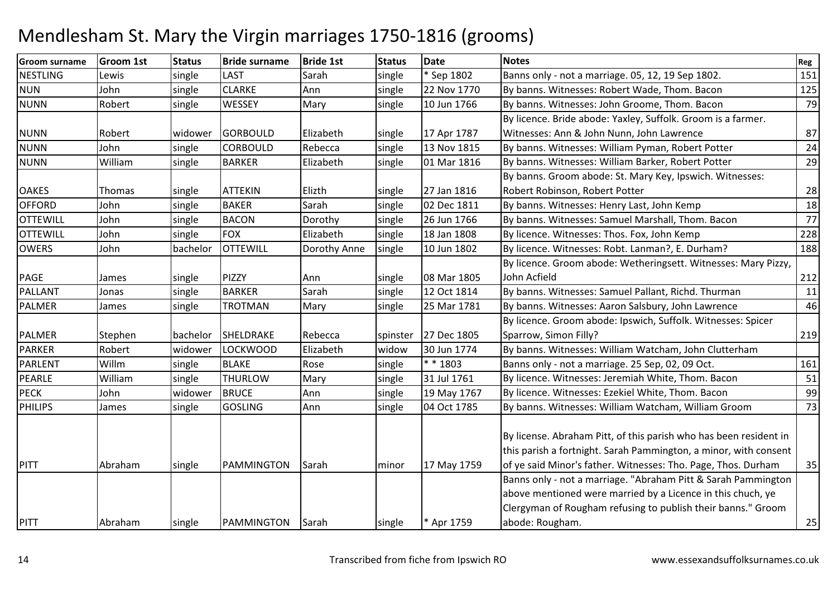| <b>Groom surname</b> | <b>Groom 1st</b> | <b>Status</b> | <b>Bride surname</b> | <b>Bride 1st</b> | <b>Status</b> | <b>Date</b> | <b>Notes</b>                                                      | Reg |
|----------------------|------------------|---------------|----------------------|------------------|---------------|-------------|-------------------------------------------------------------------|-----|
| <b>NESTLING</b>      | Lewis            | single        | LAST                 | Sarah            | single        | * Sep 1802  | Banns only - not a marriage. 05, 12, 19 Sep 1802.                 | 151 |
| <b>NUN</b>           | John             | single        | <b>CLARKE</b>        | Ann              | single        | 22 Nov 1770 | By banns. Witnesses: Robert Wade, Thom. Bacon                     | 125 |
| <b>NUNN</b>          | Robert           | single        | WESSEY               | Mary             | single        | 10 Jun 1766 | By banns. Witnesses: John Groome, Thom. Bacon                     | 79  |
|                      |                  |               |                      |                  |               |             | By licence. Bride abode: Yaxley, Suffolk. Groom is a farmer.      |     |
| <b>NUNN</b>          | Robert           | widower       | <b>GORBOULD</b>      | Elizabeth        | single        | 17 Apr 1787 | Witnesses: Ann & John Nunn, John Lawrence                         | 87  |
| <b>NUNN</b>          | John             | single        | <b>CORBOULD</b>      | Rebecca          | single        | 13 Nov 1815 | By banns. Witnesses: William Pyman, Robert Potter                 | 24  |
| <b>NUNN</b>          | William          | single        | <b>BARKER</b>        | Elizabeth        | single        | 01 Mar 1816 | By banns. Witnesses: William Barker, Robert Potter                | 29  |
|                      |                  |               |                      |                  |               |             | By banns. Groom abode: St. Mary Key, Ipswich. Witnesses:          |     |
| <b>OAKES</b>         | Thomas           | single        | <b>ATTEKIN</b>       | Elizth           | single        | 27 Jan 1816 | Robert Robinson, Robert Potter                                    | 28  |
| <b>OFFORD</b>        | John             | single        | <b>BAKER</b>         | Sarah            | single        | 02 Dec 1811 | By banns. Witnesses: Henry Last, John Kemp                        | 18  |
| <b>OTTEWILL</b>      | John             | single        | <b>BACON</b>         | Dorothy          | single        | 26 Jun 1766 | By banns. Witnesses: Samuel Marshall, Thom. Bacon                 | 77  |
| <b>OTTEWILL</b>      | John             | single        | <b>FOX</b>           | Elizabeth        | single        | 18 Jan 1808 | By licence. Witnesses: Thos. Fox, John Kemp                       | 228 |
| <b>OWERS</b>         | John             | bachelor      | <b>OTTEWILL</b>      | Dorothy Anne     | single        | 10 Jun 1802 | By licence. Witnesses: Robt. Lanman?, E. Durham?                  | 188 |
|                      |                  |               |                      |                  |               |             | By licence. Groom abode: Wetheringsett. Witnesses: Mary Pizzy,    |     |
| <b>PAGE</b>          | James            | single        | PIZZY                | Ann              | single        | 08 Mar 1805 | John Acfield                                                      | 212 |
| <b>PALLANT</b>       | Jonas            | single        | <b>BARKER</b>        | Sarah            | single        | 12 Oct 1814 | By banns. Witnesses: Samuel Pallant, Richd. Thurman               | 11  |
| <b>PALMER</b>        | James            | single        | <b>TROTMAN</b>       | Mary             | single        | 25 Mar 1781 | By banns. Witnesses: Aaron Salsbury, John Lawrence                | 46  |
|                      |                  |               |                      |                  |               |             | By licence. Groom abode: Ipswich, Suffolk. Witnesses: Spicer      |     |
| <b>PALMER</b>        | Stephen          | bachelor      | SHELDRAKE            | Rebecca          | spinster      | 27 Dec 1805 | Sparrow, Simon Filly?                                             | 219 |
| <b>PARKER</b>        | Robert           | widower       | <b>LOCKWOOD</b>      | Elizabeth        | widow         | 30 Jun 1774 | By banns. Witnesses: William Watcham, John Clutterham             |     |
| <b>PARLENT</b>       | Willm            | single        | <b>BLAKE</b>         | Rose             | single        | $* * 1803$  | Banns only - not a marriage. 25 Sep, 02, 09 Oct.                  | 161 |
| <b>PEARLE</b>        | William          | single        | <b>THURLOW</b>       | Mary             | single        | 31 Jul 1761 | By licence. Witnesses: Jeremiah White, Thom. Bacon                | 51  |
| <b>PECK</b>          | John             | widower       | <b>BRUCE</b>         | Ann              | single        | 19 May 1767 | By licence. Witnesses: Ezekiel White, Thom. Bacon                 | 99  |
| PHILIPS              | James            | single        | <b>GOSLING</b>       | Ann              | single        | 04 Oct 1785 | By banns. Witnesses: William Watcham, William Groom               | 73  |
|                      |                  |               |                      |                  |               |             |                                                                   |     |
|                      |                  |               |                      |                  |               |             | By license. Abraham Pitt, of this parish who has been resident in |     |
|                      |                  |               |                      |                  |               |             | this parish a fortnight. Sarah Pammington, a minor, with consent  |     |
| PITT                 | Abraham          | single        | PAMMINGTON           | Sarah            | minor         | 17 May 1759 | of ye said Minor's father. Witnesses: Tho. Page, Thos. Durham     | 35  |
|                      |                  |               |                      |                  |               |             | Banns only - not a marriage. "Abraham Pitt & Sarah Pammington     |     |
|                      |                  |               |                      |                  |               |             | above mentioned were married by a Licence in this chuch, ye       |     |
|                      |                  |               |                      |                  |               |             | Clergyman of Rougham refusing to publish their banns." Groom      |     |
| PITT                 | Abraham          | single        | PAMMINGTON           | Sarah            | single        | * Apr 1759  | abode: Rougham.                                                   | 25  |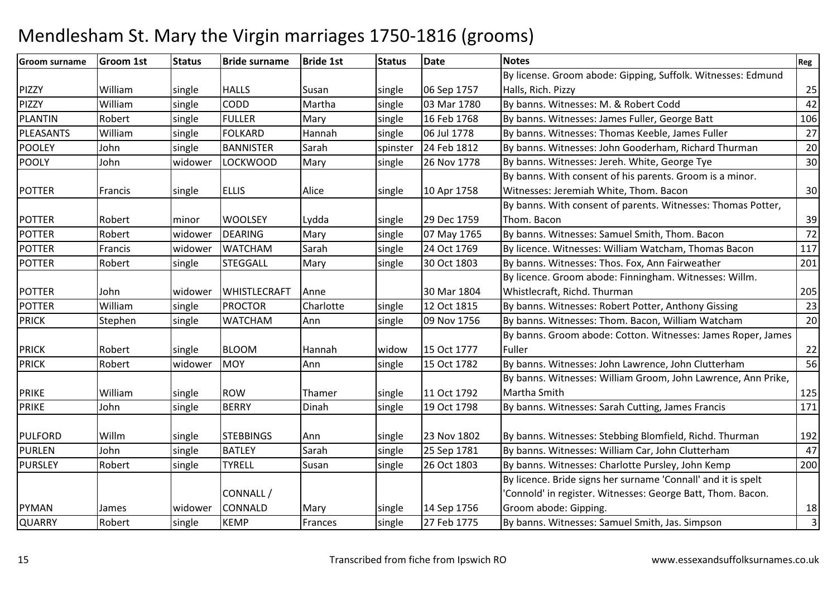| <b>Groom surname</b> | <b>Groom 1st</b> | <b>Status</b> | <b>Bride surname</b> | <b>Bride 1st</b> | <b>Status</b> | <b>Date</b> | <b>Notes</b>                                                  | Reg                     |
|----------------------|------------------|---------------|----------------------|------------------|---------------|-------------|---------------------------------------------------------------|-------------------------|
|                      |                  |               |                      |                  |               |             | By license. Groom abode: Gipping, Suffolk. Witnesses: Edmund  |                         |
| <b>PIZZY</b>         | William          | single        | <b>HALLS</b>         | Susan            | single        | 06 Sep 1757 | Halls, Rich. Pizzy                                            | 25                      |
| PIZZY                | William          | single        | CODD                 | Martha           | single        | 03 Mar 1780 | By banns. Witnesses: M. & Robert Codd                         | 42                      |
| <b>PLANTIN</b>       | Robert           | single        | <b>FULLER</b>        | Mary             | single        | 16 Feb 1768 | By banns. Witnesses: James Fuller, George Batt                | 106                     |
| <b>PLEASANTS</b>     | William          | single        | <b>FOLKARD</b>       | Hannah           | single        | 06 Jul 1778 | By banns. Witnesses: Thomas Keeble, James Fuller              | 27                      |
| <b>POOLEY</b>        | John             | single        | <b>BANNISTER</b>     | Sarah            | spinster      | 24 Feb 1812 | By banns. Witnesses: John Gooderham, Richard Thurman          | 20                      |
| <b>POOLY</b>         | John             | widower       | <b>LOCKWOOD</b>      | Mary             | single        | 26 Nov 1778 | By banns. Witnesses: Jereh. White, George Tye                 | 30                      |
|                      |                  |               |                      |                  |               |             | By banns. With consent of his parents. Groom is a minor.      |                         |
| <b>POTTER</b>        | Francis          | single        | <b>ELLIS</b>         | Alice            | single        | 10 Apr 1758 | Witnesses: Jeremiah White, Thom. Bacon                        | 30                      |
|                      |                  |               |                      |                  |               |             | By banns. With consent of parents. Witnesses: Thomas Potter,  |                         |
| <b>POTTER</b>        | Robert           | minor         | <b>WOOLSEY</b>       | Lydda            | single        | 29 Dec 1759 | Thom. Bacon                                                   | 39                      |
| <b>POTTER</b>        | Robert           | widower       | <b>DEARING</b>       | Mary             | single        | 07 May 1765 | By banns. Witnesses: Samuel Smith, Thom. Bacon                | 72                      |
| POTTER               | Francis          | widower       | <b>WATCHAM</b>       | Sarah            | single        | 24 Oct 1769 | By licence. Witnesses: William Watcham, Thomas Bacon          | 117                     |
| <b>POTTER</b>        | Robert           | single        | <b>STEGGALL</b>      | Mary             | single        | 30 Oct 1803 | By banns. Witnesses: Thos. Fox, Ann Fairweather               | 201                     |
|                      |                  |               |                      |                  |               |             | By licence. Groom abode: Finningham. Witnesses: Willm.        |                         |
| <b>POTTER</b>        | John             | widower       | <b>WHISTLECRAFT</b>  | Anne             |               | 30 Mar 1804 | Whistlecraft, Richd. Thurman                                  | 205                     |
| <b>POTTER</b>        | William          | single        | <b>PROCTOR</b>       | Charlotte        | single        | 12 Oct 1815 | By banns. Witnesses: Robert Potter, Anthony Gissing           | 23                      |
| <b>PRICK</b>         | Stephen          | single        | <b>WATCHAM</b>       | Ann              | single        | 09 Nov 1756 | By banns. Witnesses: Thom. Bacon, William Watcham             | 20                      |
|                      |                  |               |                      |                  |               |             | By banns. Groom abode: Cotton. Witnesses: James Roper, James  |                         |
| <b>PRICK</b>         | Robert           | single        | <b>BLOOM</b>         | Hannah           | widow         | 15 Oct 1777 | Fuller                                                        | 22                      |
| <b>PRICK</b>         | Robert           | widower       | <b>MOY</b>           | Ann              | single        | 15 Oct 1782 | By banns. Witnesses: John Lawrence, John Clutterham           | 56                      |
|                      |                  |               |                      |                  |               |             | By banns. Witnesses: William Groom, John Lawrence, Ann Prike, |                         |
| <b>PRIKE</b>         | William          | single        | <b>ROW</b>           | Thamer           | single        | 11 Oct 1792 | Martha Smith                                                  | 125                     |
| <b>PRIKE</b>         | John             | single        | <b>BERRY</b>         | Dinah            | single        | 19 Oct 1798 | By banns. Witnesses: Sarah Cutting, James Francis             | 171                     |
|                      |                  |               |                      |                  |               |             |                                                               |                         |
| <b>PULFORD</b>       | Willm            | single        | <b>STEBBINGS</b>     | Ann              | single        | 23 Nov 1802 | By banns. Witnesses: Stebbing Blomfield, Richd. Thurman       | 192                     |
| PURLEN               | John             | single        | <b>BATLEY</b>        | Sarah            | single        | 25 Sep 1781 | By banns. Witnesses: William Car, John Clutterham             | 47                      |
| <b>PURSLEY</b>       | Robert           | single        | <b>TYRELL</b>        | Susan            | single        | 26 Oct 1803 | By banns. Witnesses: Charlotte Pursley, John Kemp             | 200                     |
|                      |                  |               |                      |                  |               |             | By licence. Bride signs her surname 'Connall' and it is spelt |                         |
|                      |                  |               | CONNALL /            |                  |               |             | 'Connold' in register. Witnesses: George Batt, Thom. Bacon.   |                         |
| <b>PYMAN</b>         | James            | widower       | <b>CONNALD</b>       | Mary             | single        | 14 Sep 1756 | Groom abode: Gipping.                                         | 18                      |
| <b>QUARRY</b>        | Robert           | single        | <b>KEMP</b>          | Frances          | single        | 27 Feb 1775 | By banns. Witnesses: Samuel Smith, Jas. Simpson               | $\overline{\mathbf{3}}$ |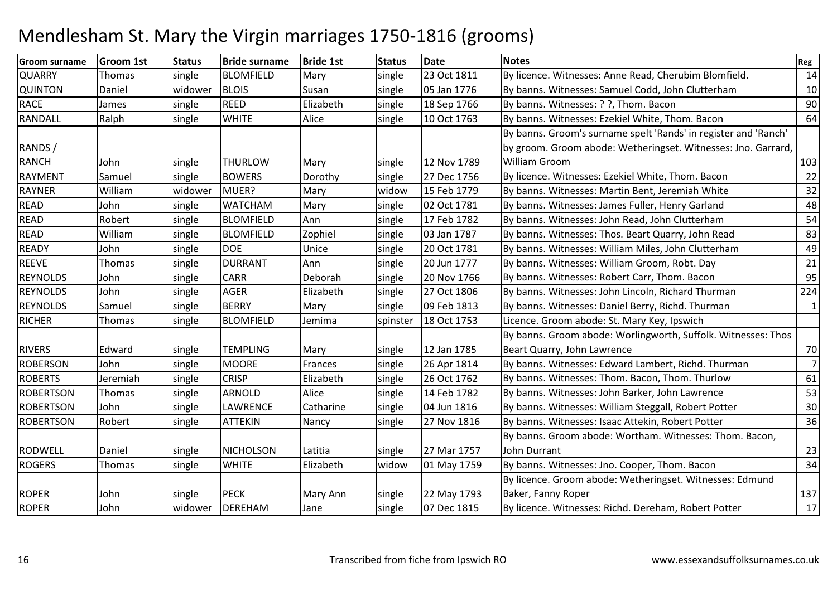| <b>Groom surname</b> | <b>Groom 1st</b> | <b>Status</b> | <b>Bride surname</b> | <b>Bride 1st</b> | <b>Status</b> | <b>Date</b> | <b>Notes</b>                                                    | Reg            |
|----------------------|------------------|---------------|----------------------|------------------|---------------|-------------|-----------------------------------------------------------------|----------------|
| <b>QUARRY</b>        | Thomas           | single        | <b>BLOMFIELD</b>     | Mary             | single        | 23 Oct 1811 | By licence. Witnesses: Anne Read, Cherubim Blomfield.           | 14             |
| <b>QUINTON</b>       | Daniel           | widower       | <b>BLOIS</b>         | Susan            | single        | 05 Jan 1776 | By banns. Witnesses: Samuel Codd, John Clutterham               | 10             |
| <b>RACE</b>          | James            | single        | <b>REED</b>          | Elizabeth        | single        | 18 Sep 1766 | By banns. Witnesses: ? ?, Thom. Bacon                           | 90             |
| RANDALL              | Ralph            | single        | <b>WHITE</b>         | Alice            | single        | 10 Oct 1763 | By banns. Witnesses: Ezekiel White, Thom. Bacon                 | 64             |
|                      |                  |               |                      |                  |               |             | By banns. Groom's surname spelt 'Rands' in register and 'Ranch' |                |
| RANDS /              |                  |               |                      |                  |               |             | by groom. Groom abode: Wetheringset. Witnesses: Jno. Garrard,   |                |
| <b>RANCH</b>         | John             | single        | <b>THURLOW</b>       | Mary             | single        | 12 Nov 1789 | <b>William Groom</b>                                            | 103            |
| <b>RAYMENT</b>       | Samuel           | single        | <b>BOWERS</b>        | Dorothy          | single        | 27 Dec 1756 | By licence. Witnesses: Ezekiel White, Thom. Bacon               | 22             |
| <b>RAYNER</b>        | William          | widower       | MUER?                | Mary             | widow         | 15 Feb 1779 | By banns. Witnesses: Martin Bent, Jeremiah White                | 32             |
| <b>READ</b>          | John             | single        | <b>WATCHAM</b>       | Mary             | single        | 02 Oct 1781 | By banns. Witnesses: James Fuller, Henry Garland                | 48             |
| <b>READ</b>          | Robert           | single        | <b>BLOMFIELD</b>     | Ann              | single        | 17 Feb 1782 | By banns. Witnesses: John Read, John Clutterham                 | 54             |
| READ                 | William          | single        | <b>BLOMFIELD</b>     | Zophiel          | single        | 03 Jan 1787 | By banns. Witnesses: Thos. Beart Quarry, John Read              | 83             |
| <b>READY</b>         | John             | single        | <b>DOE</b>           | Unice            | single        | 20 Oct 1781 | By banns. Witnesses: William Miles, John Clutterham             | 49             |
| <b>REEVE</b>         | Thomas           | single        | <b>DURRANT</b>       | Ann              | single        | 20 Jun 1777 | By banns. Witnesses: William Groom, Robt. Day                   | 21             |
| <b>REYNOLDS</b>      | John             | single        | <b>CARR</b>          | Deborah          | single        | 20 Nov 1766 | By banns. Witnesses: Robert Carr, Thom. Bacon                   | 95             |
| <b>REYNOLDS</b>      | John             | single        | <b>AGER</b>          | Elizabeth        | single        | 27 Oct 1806 | By banns. Witnesses: John Lincoln, Richard Thurman              | 224            |
| <b>REYNOLDS</b>      | Samuel           | single        | <b>BERRY</b>         | Mary             | single        | 09 Feb 1813 | By banns. Witnesses: Daniel Berry, Richd. Thurman               | $\mathbf{1}$   |
| <b>RICHER</b>        | Thomas           | single        | <b>BLOMFIELD</b>     | Jemima           | spinster      | 18 Oct 1753 | Licence. Groom abode: St. Mary Key, Ipswich                     |                |
|                      |                  |               |                      |                  |               |             | By banns. Groom abode: Worlingworth, Suffolk. Witnesses: Thos   |                |
| <b>RIVERS</b>        | Edward           | single        | <b>TEMPLING</b>      | Mary             | single        | 12 Jan 1785 | Beart Quarry, John Lawrence                                     | 70             |
| <b>ROBERSON</b>      | John             | single        | <b>MOORE</b>         | Frances          | single        | 26 Apr 1814 | By banns. Witnesses: Edward Lambert, Richd. Thurman             | $\overline{7}$ |
| <b>ROBERTS</b>       | Jeremiah         | single        | <b>CRISP</b>         | Elizabeth        | single        | 26 Oct 1762 | By banns. Witnesses: Thom. Bacon, Thom. Thurlow                 | 61             |
| <b>ROBERTSON</b>     | Thomas           | single        | <b>ARNOLD</b>        | Alice            | single        | 14 Feb 1782 | By banns. Witnesses: John Barker, John Lawrence                 | 53             |
| <b>ROBERTSON</b>     | John             | single        | <b>LAWRENCE</b>      | Catharine        | single        | 04 Jun 1816 | By banns. Witnesses: William Steggall, Robert Potter            | 30             |
| <b>ROBERTSON</b>     | Robert           | single        | <b>ATTEKIN</b>       | Nancy            | single        | 27 Nov 1816 | By banns. Witnesses: Isaac Attekin, Robert Potter               | 36             |
|                      |                  |               |                      |                  |               |             | By banns. Groom abode: Wortham. Witnesses: Thom. Bacon,         |                |
| <b>RODWELL</b>       | Daniel           | single        | <b>NICHOLSON</b>     | Latitia          | single        | 27 Mar 1757 | John Durrant                                                    | 23             |
| <b>ROGERS</b>        | Thomas           | single        | <b>WHITE</b>         | Elizabeth        | widow         | 01 May 1759 | By banns. Witnesses: Jno. Cooper, Thom. Bacon                   | 34             |
|                      |                  |               |                      |                  |               |             | By licence. Groom abode: Wetheringset. Witnesses: Edmund        |                |
| <b>ROPER</b>         | John             | single        | <b>PECK</b>          | Mary Ann         | single        | 22 May 1793 | Baker, Fanny Roper                                              | 137            |
| <b>ROPER</b>         | John             | widower       | DEREHAM              | Jane             | single        | 07 Dec 1815 | By licence. Witnesses: Richd. Dereham, Robert Potter            | 17             |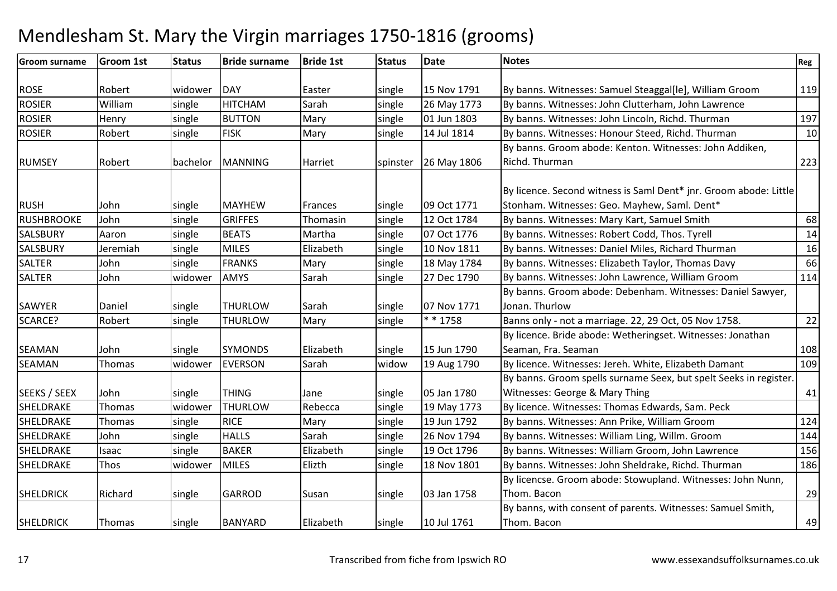#### Groom surnameGroom 1st 15tatus Bride surname e Bride 1st Status Date Notes Regional Region Regional Regional Regional Regional Regional Regional Regional Reg ROSE |Robert |widower |DAY |Easter |single |15 Nov 1791 15 Nov 1791 By banns. Witnesses: Samuel Steaggal[le], William Groom (15) 1888. William Groom<br>26 May 1773 By banns. Witnesses: John Clutterham, John Lawrence <sup>119</sup> ROSIER WilliamWilliam Single HITCHAM<br>Henry Single BUTTON Sarah Sarah single 26 May 1773 By banns. Witnesses: John Clutterham, John Lawrence<br>Mary Single 01 Jun 1803 By banns. Witnesses: John Lincoln, Richd. Thurman ROSIERR Henry single BUTTON Mary Single 01 Jun 1803 By banns. Witnesses: John Lincoln, Richd. Thurman 197<br>Mary single 14 Jul 1814 By banns. Witnesses: Honour Steed, Richd. Thurman 10 ROSIERRobert Single FISK Mary single 14 Jul 1814 By banns. Witnesses: Honour Steed, Richd. Thurman RUMSEY Robert bachelor MANNING Harriet spinster 26 May 1806By banns. Groom abode: Kenton. Witnesses: John Addiken, Richd. Thurmann 223 RUSH John single MAYHEW Frances single 09 Oct 177112 Oct 1784 By licence. Second witness is Saml Dent\* jnr. Groom abode: Little Stonham. Witnesses: Geo. Mayhew, Saml. Dent\***RUSHBROOKE**  Johnsingle GRIFFES Thomasin single 12 Oct 1784 By banns. Witnesses: Mary Kart, Samuel Smith 68<br>Single BEATS Martha single 07 Oct 1776 By banns. Witnesses: Robert Codd. Thos. Tvrell 14 **SALSBURY**  Aaronsingle BEATS Martha single 07 Oct 1776 By banns. Witnesses: Robert Codd, Thos. Tyrell 14<br>single MILES Elizabeth single 10 Nov 1811 By banns. Witnesses: Daniel Miles, Richard Thurman 16 SALSBURY Jeremiahsingle  $\vert$ 10 Nov 1811 | By banns. Witnesses: Daniel Miles, Richard Thurman SALTERJohn 1991 single FRANKS Mary 18 Single 18 May 1784 By banns. Witnesses: Elizabeth Taylor, Thomas Davy 166<br>John 1996 Widower LAMYS Sarah 114 Single 27 Dec 1790 By banns. Witnesses: John Lawrence. William Groom 1114 SALTER John widower AMYS Sarah single 27 Dec 1790 By banns. Witnesses: John Lawrence, William Groom <sup>114</sup> By banns. Groom abode: Debenham. Witnesses: Daniel Sawyer, SAWYER Daniel single THURLOW Sarah single 07 Nov 1771Jonan. ThurlowW Mary Single \* \* 1758 Banns only - not a marriage. 22, 29 Oct, 05 Nov 1758. 22<br>Rulliances Pride abode: Websites to Websites With a marriage of the concentration of the concentration of the SCARCE?Robert single **THURLOW** SEAMAN John single SYMONDS Elizabeth single 15 Jun 179019 Aug 1790 By licence. Bride abode: Wetheringset. Witnesses: Jonathan Seaman, Fra. Seamann 108 109 SEAMANN Thomas widower EVERSON Sarah widow widow | 19 Aug 1790 | By licence. Witnesses: Jereh. White, Elizabeth Damant SEEKS / SEEX | John single THING | Jane single 05 Jan 1780 19 May 1773 By banns. Groom spells surname Seex, but spelt Seeks in register. Witnesses: George & Mary Thingg 41 SHELDRAKEThomas Widower THURLOW<br>Thomas single RICE Rebecca Single 19 May 1773 By licence. Witnesses: Thomas Edwards, Sam. Peck<br>Mary single 19 Jun 1792 By banns. Witnesses: Ann Prike, William Groom SHELDRAKEThomas single 19 Jun 1792 By banns. Witnesses: Ann Prike, William Groomm 124 SHELDRAKE Johnsingle |HALLS | Sarah | single | 26 Nov 1794 | By banns. Witnesses: William Ling, Willm. Groom m 144 SHELDRAKEIsaac single BAKER<br>MILES Elizabeth single 19 Oct 1796 By banns. Witnesses: William Groom, John Lawrence 156<br>Elizth single 18 Nov 1801 By banns. Witnesses: John Sheldrake, Richd. Thurman 186 SHELDRAKEE Thos widower MILES Elizth By banns. Witnesses: John Sheldrake, Richd. Thurman SHELDRICK | Richard | single | GARROD | Susan | single | 03 Jan 1758 By licencse. Groom abode: Stowupland. Witnesses: John Nunn, Thom. Baconn 29 SHELDRICK Thomas single BANYARD Elizabeth single 10 Jul 1761By banns, with consent of parents. Witnesses: Samuel Smith, Thom. Baconn 149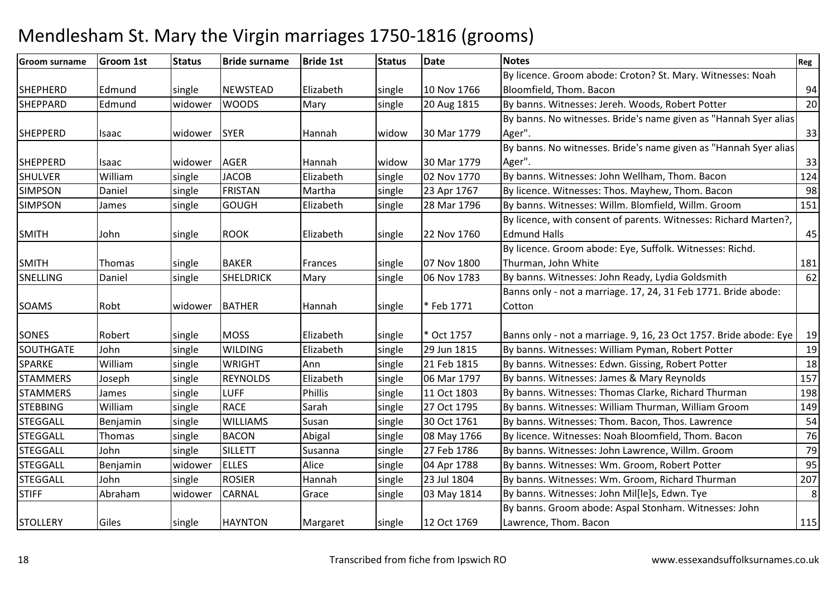| <b>Groom surname</b> | <b>Groom 1st</b> | <b>Status</b> | <b>Bride surname</b> | <b>Bride 1st</b> | <b>Status</b> | Date        | <b>Notes</b>                                                      | Reg     |
|----------------------|------------------|---------------|----------------------|------------------|---------------|-------------|-------------------------------------------------------------------|---------|
|                      |                  |               |                      |                  |               |             | By licence. Groom abode: Croton? St. Mary. Witnesses: Noah        |         |
| <b>SHEPHERD</b>      | Edmund           | single        | <b>NEWSTEAD</b>      | Elizabeth        | single        | 10 Nov 1766 | Bloomfield, Thom. Bacon                                           | 94      |
| <b>SHEPPARD</b>      | Edmund           | widower       | <b>WOODS</b>         | Mary             | single        | 20 Aug 1815 | By banns. Witnesses: Jereh. Woods, Robert Potter                  | 20      |
|                      |                  |               |                      |                  |               |             | By banns. No witnesses. Bride's name given as "Hannah Syer alias  |         |
| <b>SHEPPERD</b>      | Isaac            | widower       | <b>SYER</b>          | Hannah           | widow         | 30 Mar 1779 | Ager".                                                            | 33      |
|                      |                  |               |                      |                  |               |             | By banns. No witnesses. Bride's name given as "Hannah Syer alias  |         |
| <b>SHEPPERD</b>      | Isaac            | widower       | <b>AGER</b>          | Hannah           | widow         | 30 Mar 1779 | Ager".                                                            | 33      |
| <b>SHULVER</b>       | William          | single        | <b>JACOB</b>         | Elizabeth        | single        | 02 Nov 1770 | By banns. Witnesses: John Wellham, Thom. Bacon                    | 124     |
| <b>SIMPSON</b>       | Daniel           | single        | <b>FRISTAN</b>       | Martha           | single        | 23 Apr 1767 | By licence. Witnesses: Thos. Mayhew, Thom. Bacon                  | 98      |
| <b>SIMPSON</b>       | James            | single        | <b>GOUGH</b>         | Elizabeth        | single        | 28 Mar 1796 | By banns. Witnesses: Willm. Blomfield, Willm. Groom               | 151     |
|                      |                  |               |                      |                  |               |             | By licence, with consent of parents. Witnesses: Richard Marten?,  |         |
| <b>SMITH</b>         | John             | single        | <b>ROOK</b>          | Elizabeth        | single        | 22 Nov 1760 | <b>Edmund Halls</b>                                               | 45      |
|                      |                  |               |                      |                  |               |             | By licence. Groom abode: Eye, Suffolk. Witnesses: Richd.          |         |
| <b>SMITH</b>         | Thomas           | single        | <b>BAKER</b>         | Frances          | single        | 07 Nov 1800 | Thurman, John White                                               | 181     |
| <b>SNELLING</b>      | Daniel           | single        | <b>SHELDRICK</b>     | Mary             | single        | 06 Nov 1783 | By banns. Witnesses: John Ready, Lydia Goldsmith                  | 62      |
|                      |                  |               |                      |                  |               |             | Banns only - not a marriage. 17, 24, 31 Feb 1771. Bride abode:    |         |
| <b>SOAMS</b>         | Robt             | widower       | <b>BATHER</b>        | Hannah           | single        | *Feb 1771   | Cotton                                                            |         |
|                      |                  |               |                      |                  |               |             |                                                                   |         |
| SONES                | Robert           | single        | <b>MOSS</b>          | Elizabeth        | single        | Oct 1757    | Banns only - not a marriage. 9, 16, 23 Oct 1757. Bride abode: Eye | 19      |
| <b>SOUTHGATE</b>     | John             | single        | <b>WILDING</b>       | Elizabeth        | single        | 29 Jun 1815 | By banns. Witnesses: William Pyman, Robert Potter                 | 19      |
| <b>SPARKE</b>        | William          | single        | <b>WRIGHT</b>        | Ann              | single        | 21 Feb 1815 | By banns. Witnesses: Edwn. Gissing, Robert Potter                 | 18      |
| <b>STAMMERS</b>      | Joseph           | single        | <b>REYNOLDS</b>      | Elizabeth        | single        | 06 Mar 1797 | By banns. Witnesses: James & Mary Reynolds                        | 157     |
| <b>STAMMERS</b>      | James            | single        | <b>LUFF</b>          | Phillis          | single        | 11 Oct 1803 | By banns. Witnesses: Thomas Clarke, Richard Thurman               | 198     |
| <b>STEBBING</b>      | William          | single        | <b>RACE</b>          | Sarah            | single        | 27 Oct 1795 | By banns. Witnesses: William Thurman, William Groom               | 149     |
| <b>STEGGALL</b>      | Benjamin         | single        | <b>WILLIAMS</b>      | Susan            | single        | 30 Oct 1761 | By banns. Witnesses: Thom. Bacon, Thos. Lawrence                  | 54      |
| <b>STEGGALL</b>      | Thomas           | single        | <b>BACON</b>         | Abigal           | single        | 08 May 1766 | By licence. Witnesses: Noah Bloomfield, Thom. Bacon               | 76      |
| <b>STEGGALL</b>      | John             | single        | <b>SILLETT</b>       | Susanna          | single        | 27 Feb 1786 | By banns. Witnesses: John Lawrence, Willm. Groom                  | 79      |
| <b>STEGGALL</b>      | Benjamin         | widower       | <b>ELLES</b>         | Alice            | single        | 04 Apr 1788 | By banns. Witnesses: Wm. Groom, Robert Potter                     | 95      |
| <b>STEGGALL</b>      | John             | single        | <b>ROSIER</b>        | Hannah           | single        | 23 Jul 1804 | By banns. Witnesses: Wm. Groom, Richard Thurman                   | 207     |
| <b>STIFF</b>         | Abraham          | widower       | <b>CARNAL</b>        | Grace            | single        | 03 May 1814 | By banns. Witnesses: John Mil[le]s, Edwn. Tye                     | $\bf 8$ |
|                      |                  |               |                      |                  |               |             | By banns. Groom abode: Aspal Stonham. Witnesses: John             |         |
| <b>STOLLERY</b>      | Giles            | single        | <b>HAYNTON</b>       | Margaret         | single        | 12 Oct 1769 | Lawrence, Thom. Bacon                                             | 115     |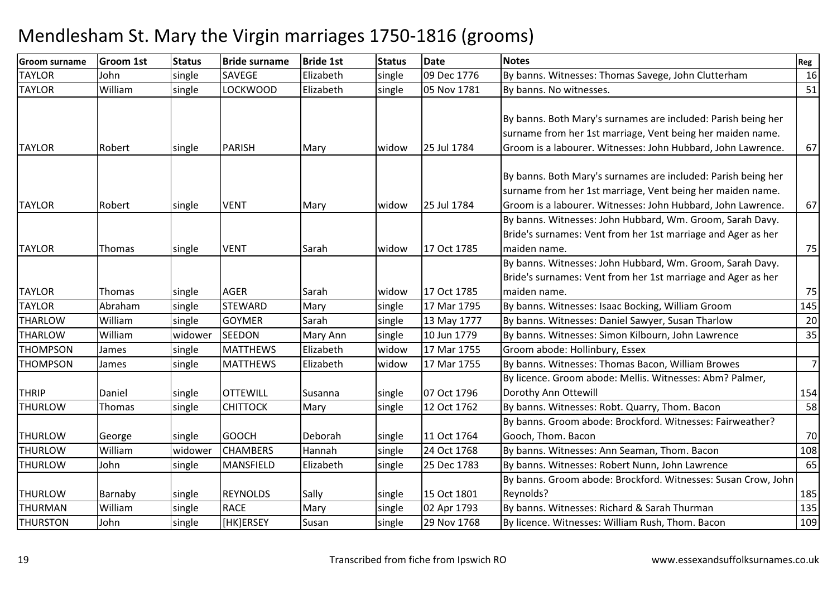| <b>Groom surname</b> | <b>Groom 1st</b> | <b>Status</b> | <b>Bride surname</b> | <b>Bride 1st</b> | <b>Status</b> | <b>Date</b> | <b>Notes</b>                                                  | Reg |
|----------------------|------------------|---------------|----------------------|------------------|---------------|-------------|---------------------------------------------------------------|-----|
| <b>TAYLOR</b>        | John             | single        | <b>SAVEGE</b>        | Elizabeth        | single        | 09 Dec 1776 | By banns. Witnesses: Thomas Savege, John Clutterham           | 16  |
| <b>TAYLOR</b>        | William          | single        | <b>LOCKWOOD</b>      | Elizabeth        | single        | 05 Nov 1781 | By banns. No witnesses.                                       | 51  |
|                      |                  |               |                      |                  |               |             |                                                               |     |
|                      |                  |               |                      |                  |               |             | By banns. Both Mary's surnames are included: Parish being her |     |
|                      |                  |               |                      |                  |               |             | surname from her 1st marriage, Vent being her maiden name.    |     |
| <b>TAYLOR</b>        | Robert           | single        | <b>PARISH</b>        | Mary             | widow         | 25 Jul 1784 | Groom is a labourer. Witnesses: John Hubbard, John Lawrence.  | 67  |
|                      |                  |               |                      |                  |               |             |                                                               |     |
|                      |                  |               |                      |                  |               |             | By banns. Both Mary's surnames are included: Parish being her |     |
|                      |                  |               |                      |                  |               |             | surname from her 1st marriage, Vent being her maiden name.    |     |
| <b>TAYLOR</b>        | Robert           | single        | <b>VENT</b>          | Mary             | widow         | 25 Jul 1784 | Groom is a labourer. Witnesses: John Hubbard, John Lawrence.  | 67  |
|                      |                  |               |                      |                  |               |             | By banns. Witnesses: John Hubbard, Wm. Groom, Sarah Davy.     |     |
|                      |                  |               |                      |                  |               |             | Bride's surnames: Vent from her 1st marriage and Ager as her  |     |
| <b>TAYLOR</b>        | Thomas           | single        | <b>VENT</b>          | Sarah            | widow         | 17 Oct 1785 | maiden name.                                                  | 75  |
|                      |                  |               |                      |                  |               |             | By banns. Witnesses: John Hubbard, Wm. Groom, Sarah Davy.     |     |
|                      |                  |               |                      |                  |               |             | Bride's surnames: Vent from her 1st marriage and Ager as her  |     |
| <b>TAYLOR</b>        | Thomas           | single        | <b>AGER</b>          | Sarah            | widow         | 17 Oct 1785 | maiden name.                                                  | 75  |
| <b>TAYLOR</b>        | Abraham          | single        | <b>STEWARD</b>       | Mary             | single        | 17 Mar 1795 | By banns. Witnesses: Isaac Bocking, William Groom             | 145 |
| <b>THARLOW</b>       | William          | single        | <b>GOYMER</b>        | Sarah            | single        | 13 May 1777 | By banns. Witnesses: Daniel Sawyer, Susan Tharlow             | 20  |
| <b>THARLOW</b>       | William          | widower       | <b>SEEDON</b>        | Mary Ann         | single        | 10 Jun 1779 | By banns. Witnesses: Simon Kilbourn, John Lawrence            | 35  |
| <b>THOMPSON</b>      | James            | single        | <b>MATTHEWS</b>      | Elizabeth        | widow         | 17 Mar 1755 | Groom abode: Hollinbury, Essex                                |     |
| <b>THOMPSON</b>      | James            | single        | <b>MATTHEWS</b>      | Elizabeth        | widow         | 17 Mar 1755 | By banns. Witnesses: Thomas Bacon, William Browes             | 7   |
|                      |                  |               |                      |                  |               |             | By licence. Groom abode: Mellis. Witnesses: Abm? Palmer,      |     |
| <b>THRIP</b>         | Daniel           | single        | <b>OTTEWILL</b>      | Susanna          | single        | 07 Oct 1796 | Dorothy Ann Ottewill                                          | 154 |
| <b>THURLOW</b>       | Thomas           | single        | <b>CHITTOCK</b>      | Mary             | single        | 12 Oct 1762 | By banns. Witnesses: Robt. Quarry, Thom. Bacon                | 58  |
|                      |                  |               |                      |                  |               |             | By banns. Groom abode: Brockford. Witnesses: Fairweather?     |     |
| <b>THURLOW</b>       | George           | single        | <b>GOOCH</b>         | Deborah          | single        | 11 Oct 1764 | Gooch, Thom. Bacon                                            | 70  |
| <b>THURLOW</b>       | William          | widower       | <b>CHAMBERS</b>      | Hannah           | single        | 24 Oct 1768 | By banns. Witnesses: Ann Seaman, Thom. Bacon                  | 108 |
| <b>THURLOW</b>       | John             | single        | <b>MANSFIELD</b>     | Elizabeth        | single        | 25 Dec 1783 | By banns. Witnesses: Robert Nunn, John Lawrence               | 65  |
|                      |                  |               |                      |                  |               |             | By banns. Groom abode: Brockford. Witnesses: Susan Crow, John |     |
| <b>THURLOW</b>       | Barnaby          | single        | <b>REYNOLDS</b>      | Sally            | single        | 15 Oct 1801 | Reynolds?                                                     | 185 |
| <b>THURMAN</b>       | William          | single        | <b>RACE</b>          | Mary             | single        | 02 Apr 1793 | By banns. Witnesses: Richard & Sarah Thurman                  | 135 |
| <b>THURSTON</b>      | John             | single        | HK]ERSEY             | Susan            | single        | 29 Nov 1768 | By licence. Witnesses: William Rush, Thom. Bacon              | 109 |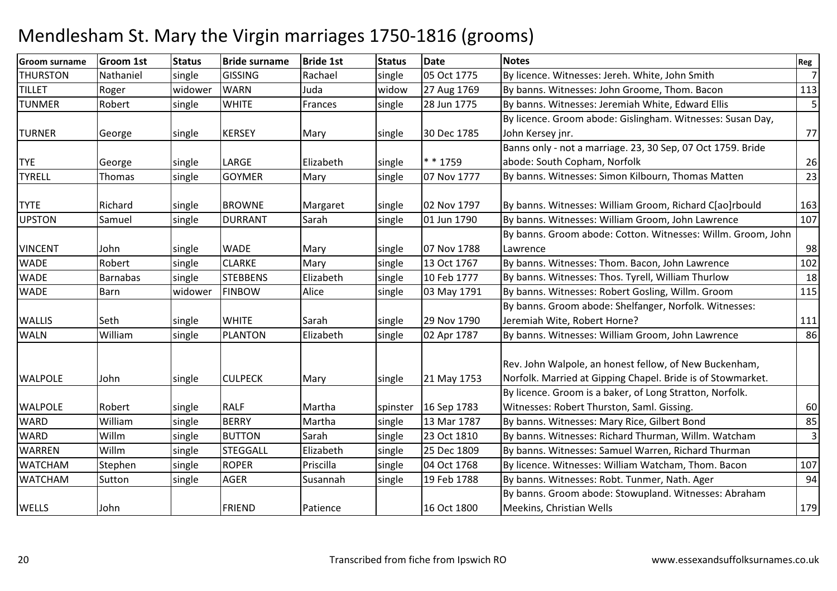| <b>Groom surname</b> | Groom 1st       | <b>Status</b> | <b>Bride surname</b> | <b>Bride 1st</b> | <b>Status</b> | <b>Date</b> | <b>Notes</b>                                                                                                          | Reg            |
|----------------------|-----------------|---------------|----------------------|------------------|---------------|-------------|-----------------------------------------------------------------------------------------------------------------------|----------------|
| <b>THURSTON</b>      | Nathaniel       | single        | <b>GISSING</b>       | Rachael          | single        | 05 Oct 1775 | By licence. Witnesses: Jereh. White, John Smith                                                                       | $\overline{7}$ |
| <b>TILLET</b>        | Roger           | widower       | <b>WARN</b>          | Juda             | widow         | 27 Aug 1769 | By banns. Witnesses: John Groome, Thom. Bacon                                                                         | 113            |
| <b>TUNMER</b>        | Robert          | single        | <b>WHITE</b>         | Frances          | single        | 28 Jun 1775 | By banns. Witnesses: Jeremiah White, Edward Ellis                                                                     | 5              |
|                      |                 |               |                      |                  |               |             | By licence. Groom abode: Gislingham. Witnesses: Susan Day,                                                            |                |
| <b>TURNER</b>        | George          | single        | <b>KERSEY</b>        | Mary             | single        | 30 Dec 1785 | John Kersey jnr.                                                                                                      | 77             |
|                      |                 |               |                      |                  |               |             | Banns only - not a marriage. 23, 30 Sep, 07 Oct 1759. Bride                                                           |                |
| <b>TYE</b>           | George          | single        | LARGE                | Elizabeth        | single        | * * 1759    | abode: South Copham, Norfolk                                                                                          | 26             |
| <b>TYRELL</b>        | Thomas          | single        | <b>GOYMER</b>        | Mary             | single        | 07 Nov 1777 | By banns. Witnesses: Simon Kilbourn, Thomas Matten                                                                    | 23             |
| <b>TYTE</b>          | Richard         | single        | <b>BROWNE</b>        | Margaret         | single        | 02 Nov 1797 | By banns. Witnesses: William Groom, Richard C[ao]rbould                                                               | 163            |
| <b>UPSTON</b>        | Samuel          | single        | <b>DURRANT</b>       | Sarah            | single        | 01 Jun 1790 | By banns. Witnesses: William Groom, John Lawrence                                                                     | 107            |
|                      |                 |               |                      |                  |               |             | By banns. Groom abode: Cotton. Witnesses: Willm. Groom, John                                                          |                |
| <b>VINCENT</b>       | John            | single        | <b>WADE</b>          | Mary             | single        | 07 Nov 1788 | Lawrence                                                                                                              | 98             |
| <b>WADE</b>          | Robert          | single        | <b>CLARKE</b>        | Mary             | single        | 13 Oct 1767 | By banns. Witnesses: Thom. Bacon, John Lawrence                                                                       | 102            |
| <b>WADE</b>          | <b>Barnabas</b> | single        | <b>STEBBENS</b>      | Elizabeth        | single        | 10 Feb 1777 | By banns. Witnesses: Thos. Tyrell, William Thurlow                                                                    | 18             |
| <b>WADE</b>          | Barn            | widower       | <b>FINBOW</b>        | Alice            | single        | 03 May 1791 | By banns. Witnesses: Robert Gosling, Willm. Groom                                                                     | 115            |
|                      |                 |               |                      |                  |               |             | By banns. Groom abode: Shelfanger, Norfolk. Witnesses:                                                                |                |
| <b>WALLIS</b>        | Seth            | single        | <b>WHITE</b>         | Sarah            | single        | 29 Nov 1790 | Jeremiah Wite, Robert Horne?                                                                                          | 111            |
| <b>WALN</b>          | William         | single        | <b>PLANTON</b>       | Elizabeth        | single        | 02 Apr 1787 | By banns. Witnesses: William Groom, John Lawrence                                                                     | 86             |
| <b>WALPOLE</b>       | John            | single        | <b>CULPECK</b>       | Mary             | single        | 21 May 1753 | Rev. John Walpole, an honest fellow, of New Buckenham,<br>Norfolk. Married at Gipping Chapel. Bride is of Stowmarket. |                |
|                      |                 |               |                      |                  |               |             | By licence. Groom is a baker, of Long Stratton, Norfolk.                                                              |                |
| <b>WALPOLE</b>       | Robert          | single        | <b>RALF</b>          | Martha           | spinster      | 16 Sep 1783 | Witnesses: Robert Thurston, Saml. Gissing.                                                                            | 60             |
| <b>WARD</b>          | William         | single        | <b>BERRY</b>         | Martha           | single        | 13 Mar 1787 | By banns. Witnesses: Mary Rice, Gilbert Bond                                                                          | 85             |
| <b>WARD</b>          | Willm           | single        | <b>BUTTON</b>        | Sarah            | single        | 23 Oct 1810 | By banns. Witnesses: Richard Thurman, Willm. Watcham                                                                  | 3              |
| <b>WARREN</b>        | Willm           | single        | <b>STEGGALL</b>      | Elizabeth        | single        | 25 Dec 1809 | By banns. Witnesses: Samuel Warren, Richard Thurman                                                                   |                |
| <b>WATCHAM</b>       | Stephen         | single        | <b>ROPER</b>         | Priscilla        | single        | 04 Oct 1768 | By licence. Witnesses: William Watcham, Thom. Bacon                                                                   | 107            |
| <b>WATCHAM</b>       | Sutton          | single        | <b>AGER</b>          | Susannah         | single        | 19 Feb 1788 | By banns. Witnesses: Robt. Tunmer, Nath. Ager                                                                         | 94             |
|                      |                 |               |                      |                  |               |             | By banns. Groom abode: Stowupland. Witnesses: Abraham                                                                 |                |
| WELLS                | John            |               | <b>FRIEND</b>        | Patience         |               | 16 Oct 1800 | Meekins, Christian Wells                                                                                              | 179            |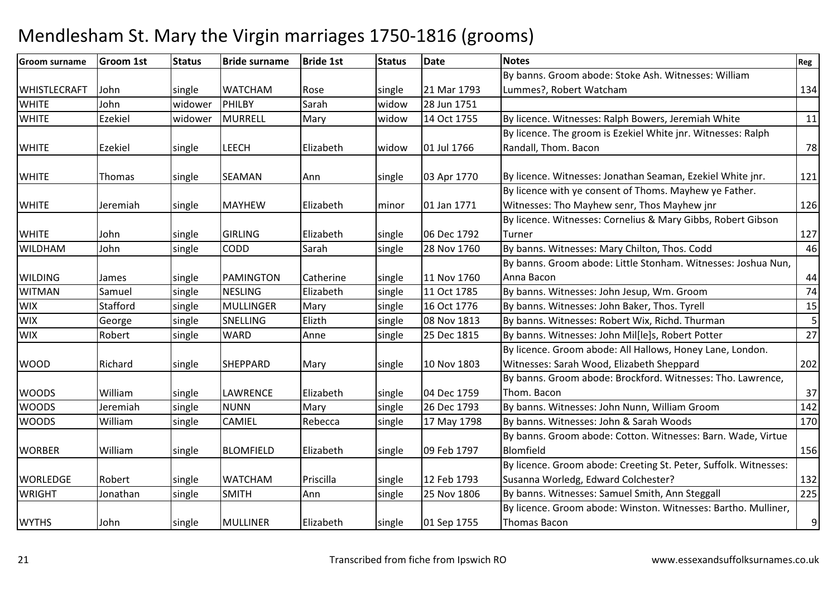| <b>Groom surname</b> | <b>Groom 1st</b> | <b>Status</b> | <b>Bride surname</b> | <b>Bride 1st</b> | <b>Status</b> | <b>Date</b> | <b>Notes</b>                                                     | Reg |
|----------------------|------------------|---------------|----------------------|------------------|---------------|-------------|------------------------------------------------------------------|-----|
|                      |                  |               |                      |                  |               |             | By banns. Groom abode: Stoke Ash. Witnesses: William             |     |
| <b>WHISTLECRAFT</b>  | John             | single        | <b>WATCHAM</b>       | Rose             | single        | 21 Mar 1793 | Lummes?, Robert Watcham                                          | 134 |
| <b>WHITE</b>         | John             | widower       | PHILBY               | Sarah            | widow         | 28 Jun 1751 |                                                                  |     |
| <b>WHITE</b>         | Ezekiel          | widower       | <b>MURRELL</b>       | Mary             | widow         | 14 Oct 1755 | By licence. Witnesses: Ralph Bowers, Jeremiah White              | 11  |
|                      |                  |               |                      |                  |               |             | By licence. The groom is Ezekiel White jnr. Witnesses: Ralph     |     |
| <b>WHITE</b>         | Ezekiel          | single        | <b>LEECH</b>         | Elizabeth        | widow         | 01 Jul 1766 | Randall, Thom. Bacon                                             | 78  |
|                      |                  |               |                      |                  |               |             |                                                                  |     |
| <b>WHITE</b>         | Thomas           | single        | <b>SEAMAN</b>        | Ann              | single        | 03 Apr 1770 | By licence. Witnesses: Jonathan Seaman, Ezekiel White jnr.       | 121 |
|                      |                  |               |                      |                  |               |             | By licence with ye consent of Thoms. Mayhew ye Father.           |     |
| <b>WHITE</b>         | Jeremiah         | single        | <b>MAYHEW</b>        | Elizabeth        | minor         | 01 Jan 1771 | Witnesses: Tho Mayhew senr, Thos Mayhew jnr                      | 126 |
|                      |                  |               |                      |                  |               |             | By licence. Witnesses: Cornelius & Mary Gibbs, Robert Gibson     |     |
| <b>WHITE</b>         | John             | single        | <b>GIRLING</b>       | Elizabeth        | single        | 06 Dec 1792 | Turner                                                           | 127 |
| <b>WILDHAM</b>       | John             | single        | CODD                 | Sarah            | single        | 28 Nov 1760 | By banns. Witnesses: Mary Chilton, Thos. Codd                    | 46  |
|                      |                  |               |                      |                  |               |             | By banns. Groom abode: Little Stonham. Witnesses: Joshua Nun,    |     |
| <b>WILDING</b>       | James            | single        | PAMINGTON            | Catherine        | single        | 11 Nov 1760 | Anna Bacon                                                       | 44  |
| <b>WITMAN</b>        | Samuel           | single        | <b>NESLING</b>       | Elizabeth        | single        | 11 Oct 1785 | By banns. Witnesses: John Jesup, Wm. Groom                       | 74  |
| <b>WIX</b>           | Stafford         | single        | <b>MULLINGER</b>     | Mary             | single        | 16 Oct 1776 | By banns. Witnesses: John Baker, Thos. Tyrell                    | 15  |
| <b>WIX</b>           | George           | single        | SNELLING             | Elizth           | single        | 08 Nov 1813 | By banns. Witnesses: Robert Wix, Richd. Thurman                  | 5   |
| <b>WIX</b>           | Robert           | single        | <b>WARD</b>          | Anne             | single        | 25 Dec 1815 | By banns. Witnesses: John Mil[le]s, Robert Potter                | 27  |
|                      |                  |               |                      |                  |               |             | By licence. Groom abode: All Hallows, Honey Lane, London.        |     |
| <b>WOOD</b>          | Richard          | single        | <b>SHEPPARD</b>      | Mary             | single        | 10 Nov 1803 | Witnesses: Sarah Wood, Elizabeth Sheppard                        | 202 |
|                      |                  |               |                      |                  |               |             | By banns. Groom abode: Brockford. Witnesses: Tho. Lawrence,      |     |
| <b>WOODS</b>         | William          | single        | <b>LAWRENCE</b>      | Elizabeth        | single        | 04 Dec 1759 | Thom. Bacon                                                      | 37  |
| <b>WOODS</b>         | Jeremiah         | single        | <b>NUNN</b>          | Mary             | single        | 26 Dec 1793 | By banns. Witnesses: John Nunn, William Groom                    | 142 |
| <b>WOODS</b>         | William          | single        | <b>CAMIEL</b>        | Rebecca          | single        | 17 May 1798 | By banns. Witnesses: John & Sarah Woods                          | 170 |
|                      |                  |               |                      |                  |               |             | By banns. Groom abode: Cotton. Witnesses: Barn. Wade, Virtue     |     |
| <b>WORBER</b>        | William          | single        | <b>BLOMFIELD</b>     | Elizabeth        | single        | 09 Feb 1797 | Blomfield                                                        | 156 |
|                      |                  |               |                      |                  |               |             | By licence. Groom abode: Creeting St. Peter, Suffolk. Witnesses: |     |
| <b>WORLEDGE</b>      | Robert           | single        | <b>WATCHAM</b>       | Priscilla        | single        | 12 Feb 1793 | Susanna Worledg, Edward Colchester?                              | 132 |
| <b>WRIGHT</b>        | Jonathan         | single        | <b>SMITH</b>         | Ann              | single        | 25 Nov 1806 | By banns. Witnesses: Samuel Smith, Ann Steggall                  | 225 |
|                      |                  |               |                      |                  |               |             | By licence. Groom abode: Winston. Witnesses: Bartho. Mulliner,   |     |
| <b>WYTHS</b>         | John             | single        | <b>MULLINER</b>      | Elizabeth        | single        | 01 Sep 1755 | <b>Thomas Bacon</b>                                              | 9   |